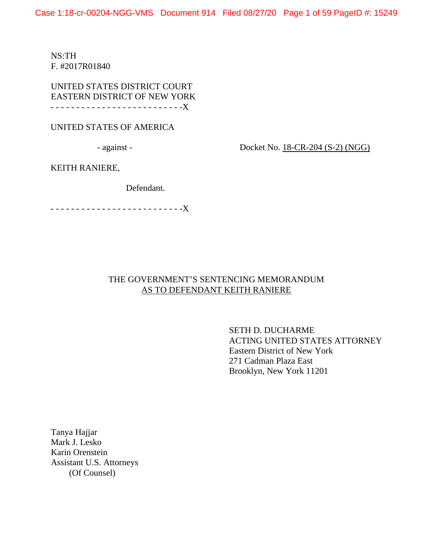Case 1:18-cr-00204-NGG-VMS Document 914 Filed 08/27/20 Page 1 of 59 PageID #: 15249

NS:TH F. #2017R01840

UNITED STATES DISTRICT COURT EASTERN DISTRICT OF NEW YORK - - - - - - - - - - - - - - - - - - - - - - - - - -X

## UNITED STATES OF AMERICA

- against -

Docket No. 18-CR-204 (S-2) (NGG)

KEITH RANIERE,

Defendant.

- - - - - - - - - - - - - - - - - - - - - - - - - -X

# THE GOVERNMENT'S SENTENCING MEMORANDUM AS TO DEFENDANT KEITH RANIERE

SETH D. DUCHARME ACTING UNITED STATES ATTORNEY Eastern District of New York 271 Cadman Plaza East Brooklyn, New York 11201

Tanya Hajjar Mark J. Lesko Karin Orenstein Assistant U.S. Attorneys (Of Counsel)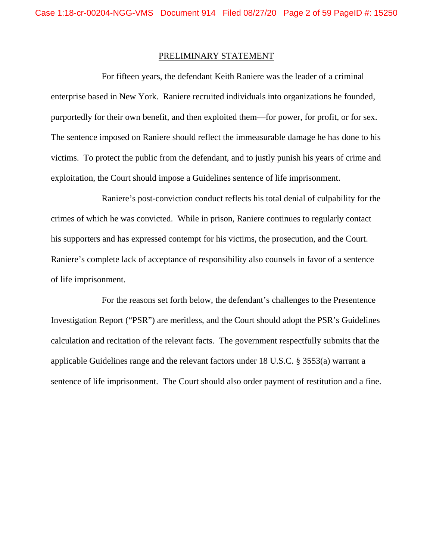### PRELIMINARY STATEMENT

For fifteen years, the defendant Keith Raniere was the leader of a criminal enterprise based in New York. Raniere recruited individuals into organizations he founded, purportedly for their own benefit, and then exploited them—for power, for profit, or for sex. The sentence imposed on Raniere should reflect the immeasurable damage he has done to his victims. To protect the public from the defendant, and to justly punish his years of crime and exploitation, the Court should impose a Guidelines sentence of life imprisonment.

Raniere's post-conviction conduct reflects his total denial of culpability for the crimes of which he was convicted. While in prison, Raniere continues to regularly contact his supporters and has expressed contempt for his victims, the prosecution, and the Court. Raniere's complete lack of acceptance of responsibility also counsels in favor of a sentence of life imprisonment.

For the reasons set forth below, the defendant's challenges to the Presentence Investigation Report ("PSR") are meritless, and the Court should adopt the PSR's Guidelines calculation and recitation of the relevant facts. The government respectfully submits that the applicable Guidelines range and the relevant factors under 18 U.S.C. § 3553(a) warrant a sentence of life imprisonment. The Court should also order payment of restitution and a fine.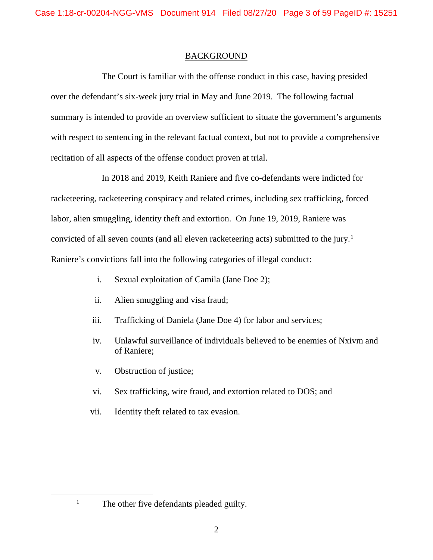## BACKGROUND

The Court is familiar with the offense conduct in this case, having presided over the defendant's six-week jury trial in May and June 2019. The following factual summary is intended to provide an overview sufficient to situate the government's arguments with respect to sentencing in the relevant factual context, but not to provide a comprehensive recitation of all aspects of the offense conduct proven at trial.

In 2018 and 2019, Keith Raniere and five co-defendants were indicted for racketeering, racketeering conspiracy and related crimes, including sex trafficking, forced labor, alien smuggling, identity theft and extortion. On June 19, 2019, Raniere was convicted of all seven counts (and all eleven racketeering acts) submitted to the jury.<sup>[1](#page-2-0)</sup> Raniere's convictions fall into the following categories of illegal conduct:

- i. Sexual exploitation of Camila (Jane Doe 2);
- ii. Alien smuggling and visa fraud;
- iii. Trafficking of Daniela (Jane Doe 4) for labor and services;
- iv. Unlawful surveillance of individuals believed to be enemies of Nxivm and of Raniere;
- v. Obstruction of justice;
- vi. Sex trafficking, wire fraud, and extortion related to DOS; and
- vii. Identity theft related to tax evasion.

<span id="page-2-0"></span>

<sup>&</sup>lt;sup>1</sup> The other five defendants pleaded guilty.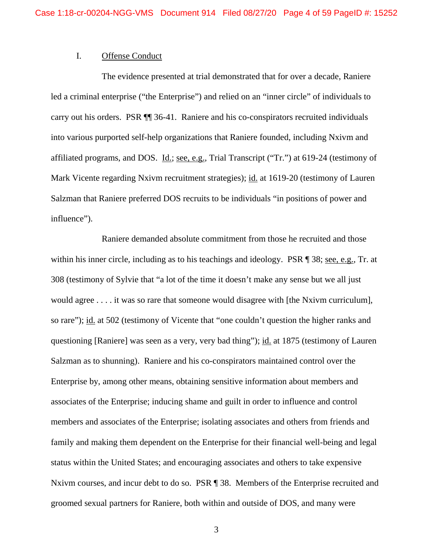## I. Offense Conduct

The evidence presented at trial demonstrated that for over a decade, Raniere led a criminal enterprise ("the Enterprise") and relied on an "inner circle" of individuals to carry out his orders. PSR ¶¶ 36-41. Raniere and his co-conspirators recruited individuals into various purported self-help organizations that Raniere founded, including Nxivm and affiliated programs, and DOS. Id.; see, e.g., Trial Transcript ("Tr.") at 619-24 (testimony of Mark Vicente regarding Nxivm recruitment strategies); id. at 1619-20 (testimony of Lauren Salzman that Raniere preferred DOS recruits to be individuals "in positions of power and influence").

Raniere demanded absolute commitment from those he recruited and those within his inner circle, including as to his teachings and ideology. PSR ¶ 38; see, e.g., Tr. at 308 (testimony of Sylvie that "a lot of the time it doesn't make any sense but we all just would agree . . . . it was so rare that someone would disagree with [the Nxivm curriculum], so rare"); id. at 502 (testimony of Vicente that "one couldn't question the higher ranks and questioning [Raniere] was seen as a very, very bad thing"); id. at 1875 (testimony of Lauren Salzman as to shunning). Raniere and his co-conspirators maintained control over the Enterprise by, among other means, obtaining sensitive information about members and associates of the Enterprise; inducing shame and guilt in order to influence and control members and associates of the Enterprise; isolating associates and others from friends and family and making them dependent on the Enterprise for their financial well-being and legal status within the United States; and encouraging associates and others to take expensive Nxivm courses, and incur debt to do so. PSR ¶ 38. Members of the Enterprise recruited and groomed sexual partners for Raniere, both within and outside of DOS, and many were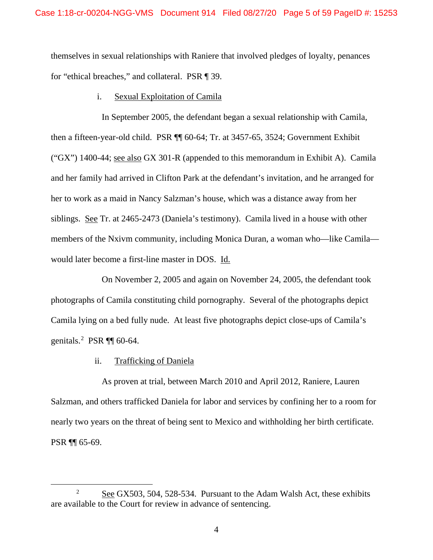themselves in sexual relationships with Raniere that involved pledges of loyalty, penances for "ethical breaches," and collateral. PSR ¶ 39.

### i. Sexual Exploitation of Camila

In September 2005, the defendant began a sexual relationship with Camila, then a fifteen-year-old child. PSR ¶¶ 60-64; Tr. at 3457-65, 3524; Government Exhibit ("GX") 1400-44; see also GX 301-R (appended to this memorandum in Exhibit A). Camila and her family had arrived in Clifton Park at the defendant's invitation, and he arranged for her to work as a maid in Nancy Salzman's house, which was a distance away from her siblings. See Tr. at 2465-2473 (Daniela's testimony). Camila lived in a house with other members of the Nxivm community, including Monica Duran, a woman who—like Camila would later become a first-line master in DOS. Id.

On November 2, 2005 and again on November 24, 2005, the defendant took photographs of Camila constituting child pornography. Several of the photographs depict Camila lying on a bed fully nude. At least five photographs depict close-ups of Camila's genitals.<sup>[2](#page-4-0)</sup> PSR  $\P\P$  60-64.

### ii. Trafficking of Daniela

As proven at trial, between March 2010 and April 2012, Raniere, Lauren Salzman, and others trafficked Daniela for labor and services by confining her to a room for nearly two years on the threat of being sent to Mexico and withholding her birth certificate. PSR ¶¶ 65-69.

<span id="page-4-0"></span><sup>&</sup>lt;sup>2</sup> See GX503, 504, 528-534. Pursuant to the Adam Walsh Act, these exhibits are available to the Court for review in advance of sentencing.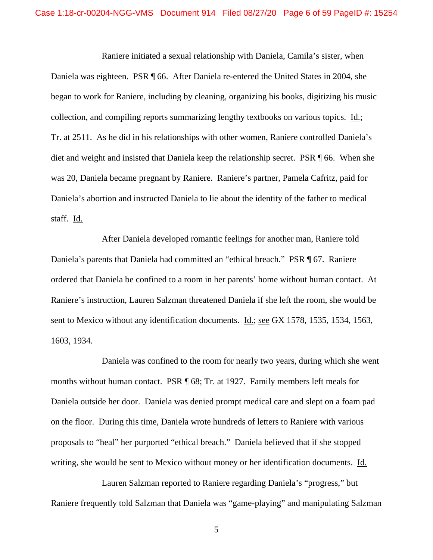Raniere initiated a sexual relationship with Daniela, Camila's sister, when Daniela was eighteen. PSR ¶ 66. After Daniela re-entered the United States in 2004, she began to work for Raniere, including by cleaning, organizing his books, digitizing his music collection, and compiling reports summarizing lengthy textbooks on various topics. Id.; Tr. at 2511. As he did in his relationships with other women, Raniere controlled Daniela's diet and weight and insisted that Daniela keep the relationship secret. PSR ¶ 66. When she was 20, Daniela became pregnant by Raniere. Raniere's partner, Pamela Cafritz, paid for Daniela's abortion and instructed Daniela to lie about the identity of the father to medical staff. Id.

After Daniela developed romantic feelings for another man, Raniere told Daniela's parents that Daniela had committed an "ethical breach." PSR ¶ 67. Raniere ordered that Daniela be confined to a room in her parents' home without human contact. At Raniere's instruction, Lauren Salzman threatened Daniela if she left the room, she would be sent to Mexico without any identification documents. Id.; see GX 1578, 1535, 1534, 1563, 1603, 1934.

Daniela was confined to the room for nearly two years, during which she went months without human contact. PSR ¶ 68; Tr. at 1927. Family members left meals for Daniela outside her door. Daniela was denied prompt medical care and slept on a foam pad on the floor. During this time, Daniela wrote hundreds of letters to Raniere with various proposals to "heal" her purported "ethical breach." Daniela believed that if she stopped writing, she would be sent to Mexico without money or her identification documents. Id.

Lauren Salzman reported to Raniere regarding Daniela's "progress," but Raniere frequently told Salzman that Daniela was "game-playing" and manipulating Salzman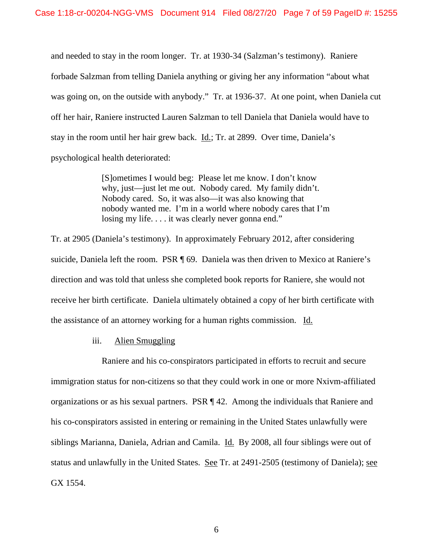and needed to stay in the room longer. Tr. at 1930-34 (Salzman's testimony). Raniere forbade Salzman from telling Daniela anything or giving her any information "about what was going on, on the outside with anybody." Tr. at 1936-37. At one point, when Daniela cut off her hair, Raniere instructed Lauren Salzman to tell Daniela that Daniela would have to stay in the room until her hair grew back. Id.; Tr. at 2899. Over time, Daniela's psychological health deteriorated:

> [S]ometimes I would beg: Please let me know. I don't know why, just—just let me out. Nobody cared. My family didn't. Nobody cared. So, it was also—it was also knowing that nobody wanted me. I'm in a world where nobody cares that I'm losing my life. . . . it was clearly never gonna end."

Tr. at 2905 (Daniela's testimony). In approximately February 2012, after considering suicide, Daniela left the room. PSR ¶ 69. Daniela was then driven to Mexico at Raniere's direction and was told that unless she completed book reports for Raniere, she would not receive her birth certificate. Daniela ultimately obtained a copy of her birth certificate with the assistance of an attorney working for a human rights commission. Id.

## iii. Alien Smuggling

Raniere and his co-conspirators participated in efforts to recruit and secure immigration status for non-citizens so that they could work in one or more Nxivm-affiliated organizations or as his sexual partners. PSR ¶ 42. Among the individuals that Raniere and his co-conspirators assisted in entering or remaining in the United States unlawfully were siblings Marianna, Daniela, Adrian and Camila. **Id.** By 2008, all four siblings were out of status and unlawfully in the United States. See Tr. at 2491-2505 (testimony of Daniela); see GX 1554.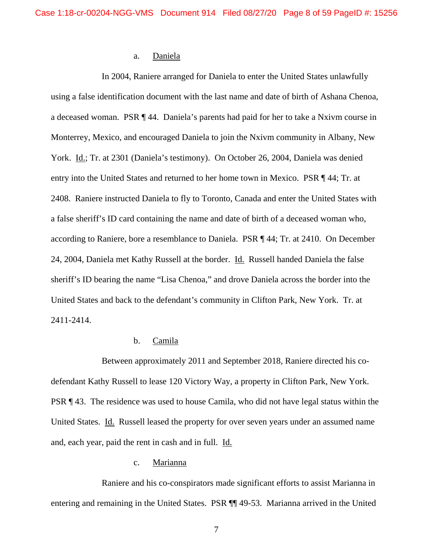### a. Daniela

In 2004, Raniere arranged for Daniela to enter the United States unlawfully using a false identification document with the last name and date of birth of Ashana Chenoa, a deceased woman. PSR ¶ 44. Daniela's parents had paid for her to take a Nxivm course in Monterrey, Mexico, and encouraged Daniela to join the Nxivm community in Albany, New York. Id.; Tr. at 2301 (Daniela's testimony). On October 26, 2004, Daniela was denied entry into the United States and returned to her home town in Mexico. PSR ¶ 44; Tr. at 2408. Raniere instructed Daniela to fly to Toronto, Canada and enter the United States with a false sheriff's ID card containing the name and date of birth of a deceased woman who, according to Raniere, bore a resemblance to Daniela. PSR ¶ 44; Tr. at 2410. On December 24, 2004, Daniela met Kathy Russell at the border. Id. Russell handed Daniela the false sheriff's ID bearing the name "Lisa Chenoa," and drove Daniela across the border into the United States and back to the defendant's community in Clifton Park, New York. Tr. at 2411-2414.

## b. Camila

Between approximately 2011 and September 2018, Raniere directed his codefendant Kathy Russell to lease 120 Victory Way, a property in Clifton Park, New York. PSR ¶ 43. The residence was used to house Camila, who did not have legal status within the United States. Id. Russell leased the property for over seven years under an assumed name and, each year, paid the rent in cash and in full. Id.

## c. Marianna

Raniere and his co-conspirators made significant efforts to assist Marianna in entering and remaining in the United States. PSR ¶¶ 49-53. Marianna arrived in the United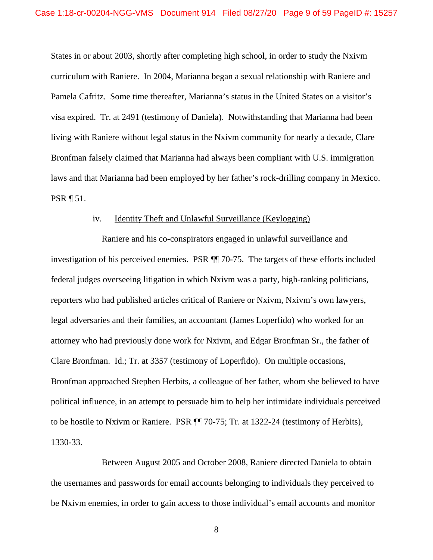States in or about 2003, shortly after completing high school, in order to study the Nxivm curriculum with Raniere. In 2004, Marianna began a sexual relationship with Raniere and Pamela Cafritz. Some time thereafter, Marianna's status in the United States on a visitor's visa expired. Tr. at 2491 (testimony of Daniela). Notwithstanding that Marianna had been living with Raniere without legal status in the Nxivm community for nearly a decade, Clare Bronfman falsely claimed that Marianna had always been compliant with U.S. immigration laws and that Marianna had been employed by her father's rock-drilling company in Mexico. PSR ¶ 51.

### iv. Identity Theft and Unlawful Surveillance (Keylogging)

Raniere and his co-conspirators engaged in unlawful surveillance and investigation of his perceived enemies. PSR ¶¶ 70-75. The targets of these efforts included federal judges overseeing litigation in which Nxivm was a party, high-ranking politicians, reporters who had published articles critical of Raniere or Nxivm, Nxivm's own lawyers, legal adversaries and their families, an accountant (James Loperfido) who worked for an attorney who had previously done work for Nxivm, and Edgar Bronfman Sr., the father of Clare Bronfman. Id.; Tr. at 3357 (testimony of Loperfido). On multiple occasions, Bronfman approached Stephen Herbits, a colleague of her father, whom she believed to have political influence, in an attempt to persuade him to help her intimidate individuals perceived to be hostile to Nxivm or Raniere. PSR ¶¶ 70-75; Tr. at 1322-24 (testimony of Herbits), 1330-33.

Between August 2005 and October 2008, Raniere directed Daniela to obtain the usernames and passwords for email accounts belonging to individuals they perceived to be Nxivm enemies, in order to gain access to those individual's email accounts and monitor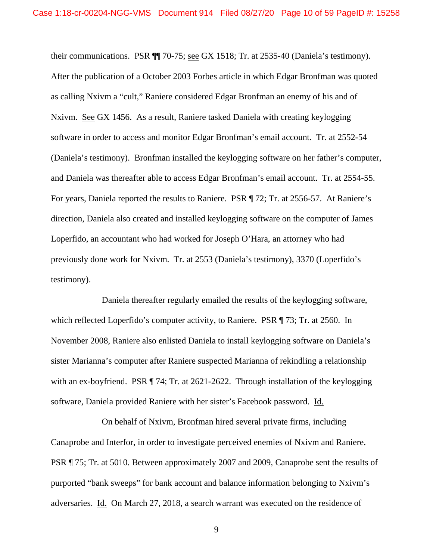their communications. PSR ¶¶ 70-75; see GX 1518; Tr. at 2535-40 (Daniela's testimony). After the publication of a October 2003 Forbes article in which Edgar Bronfman was quoted as calling Nxivm a "cult," Raniere considered Edgar Bronfman an enemy of his and of Nxivm. See GX 1456. As a result, Raniere tasked Daniela with creating keylogging software in order to access and monitor Edgar Bronfman's email account. Tr. at 2552-54 (Daniela's testimony). Bronfman installed the keylogging software on her father's computer, and Daniela was thereafter able to access Edgar Bronfman's email account. Tr. at 2554-55. For years, Daniela reported the results to Raniere. PSR ¶ 72; Tr. at 2556-57. At Raniere's direction, Daniela also created and installed keylogging software on the computer of James Loperfido, an accountant who had worked for Joseph O'Hara, an attorney who had previously done work for Nxivm. Tr. at 2553 (Daniela's testimony), 3370 (Loperfido's testimony).

Daniela thereafter regularly emailed the results of the keylogging software, which reflected Loperfido's computer activity, to Raniere. PSR ¶ 73; Tr. at 2560. In November 2008, Raniere also enlisted Daniela to install keylogging software on Daniela's sister Marianna's computer after Raniere suspected Marianna of rekindling a relationship with an ex-boyfriend. PSR ¶ 74; Tr. at 2621-2622. Through installation of the keylogging software, Daniela provided Raniere with her sister's Facebook password. Id.

On behalf of Nxivm, Bronfman hired several private firms, including Canaprobe and Interfor, in order to investigate perceived enemies of Nxivm and Raniere. PSR ¶ 75; Tr. at 5010. Between approximately 2007 and 2009, Canaprobe sent the results of purported "bank sweeps" for bank account and balance information belonging to Nxivm's adversaries. Id. On March 27, 2018, a search warrant was executed on the residence of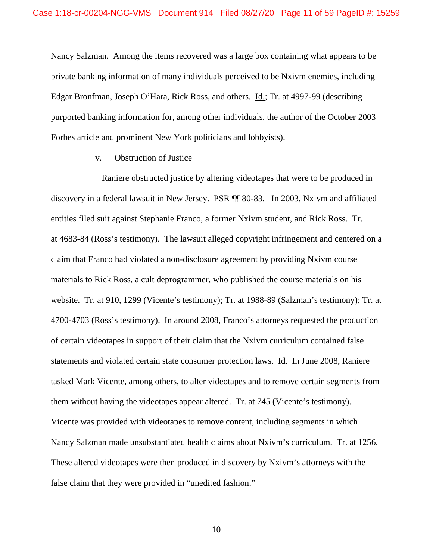Nancy Salzman. Among the items recovered was a large box containing what appears to be private banking information of many individuals perceived to be Nxivm enemies, including Edgar Bronfman, Joseph O'Hara, Rick Ross, and others. Id.; Tr. at 4997-99 (describing purported banking information for, among other individuals, the author of the October 2003 Forbes article and prominent New York politicians and lobbyists).

### v. Obstruction of Justice

Raniere obstructed justice by altering videotapes that were to be produced in discovery in a federal lawsuit in New Jersey. PSR ¶¶ 80-83. In 2003, Nxivm and affiliated entities filed suit against Stephanie Franco, a former Nxivm student, and Rick Ross. Tr. at 4683-84 (Ross's testimony). The lawsuit alleged copyright infringement and centered on a claim that Franco had violated a non-disclosure agreement by providing Nxivm course materials to Rick Ross, a cult deprogrammer, who published the course materials on his website. Tr. at 910, 1299 (Vicente's testimony); Tr. at 1988-89 (Salzman's testimony); Tr. at 4700-4703 (Ross's testimony). In around 2008, Franco's attorneys requested the production of certain videotapes in support of their claim that the Nxivm curriculum contained false statements and violated certain state consumer protection laws. Id. In June 2008, Raniere tasked Mark Vicente, among others, to alter videotapes and to remove certain segments from them without having the videotapes appear altered. Tr. at 745 (Vicente's testimony). Vicente was provided with videotapes to remove content, including segments in which Nancy Salzman made unsubstantiated health claims about Nxivm's curriculum. Tr. at 1256. These altered videotapes were then produced in discovery by Nxivm's attorneys with the false claim that they were provided in "unedited fashion."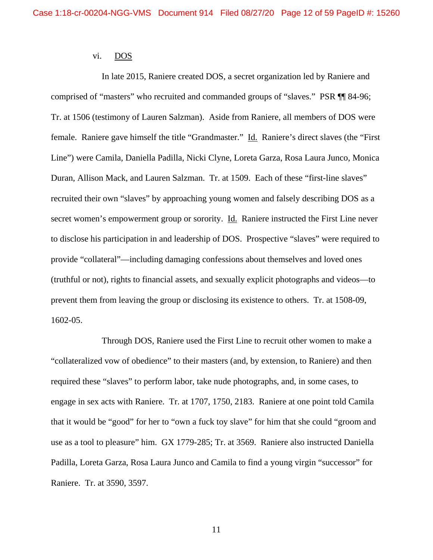### vi. DOS

In late 2015, Raniere created DOS, a secret organization led by Raniere and comprised of "masters" who recruited and commanded groups of "slaves." PSR ¶¶ 84-96; Tr. at 1506 (testimony of Lauren Salzman). Aside from Raniere, all members of DOS were female. Raniere gave himself the title "Grandmaster." Id. Raniere's direct slaves (the "First Line") were Camila, Daniella Padilla, Nicki Clyne, Loreta Garza, Rosa Laura Junco, Monica Duran, Allison Mack, and Lauren Salzman. Tr. at 1509. Each of these "first-line slaves" recruited their own "slaves" by approaching young women and falsely describing DOS as a secret women's empowerment group or sorority. **Id.** Raniere instructed the First Line never to disclose his participation in and leadership of DOS. Prospective "slaves" were required to provide "collateral"—including damaging confessions about themselves and loved ones (truthful or not), rights to financial assets, and sexually explicit photographs and videos—to prevent them from leaving the group or disclosing its existence to others. Tr. at 1508-09, 1602-05.

Through DOS, Raniere used the First Line to recruit other women to make a "collateralized vow of obedience" to their masters (and, by extension, to Raniere) and then required these "slaves" to perform labor, take nude photographs, and, in some cases, to engage in sex acts with Raniere. Tr. at 1707, 1750, 2183. Raniere at one point told Camila that it would be "good" for her to "own a fuck toy slave" for him that she could "groom and use as a tool to pleasure" him. GX 1779-285; Tr. at 3569. Raniere also instructed Daniella Padilla, Loreta Garza, Rosa Laura Junco and Camila to find a young virgin "successor" for Raniere. Tr. at 3590, 3597.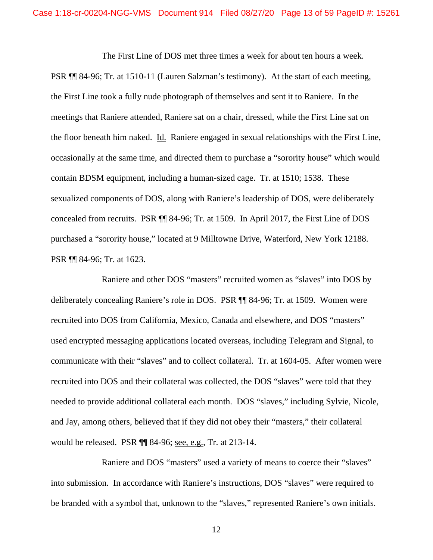The First Line of DOS met three times a week for about ten hours a week.

PSR ¶¶ 84-96; Tr. at 1510-11 (Lauren Salzman's testimony). At the start of each meeting, the First Line took a fully nude photograph of themselves and sent it to Raniere. In the meetings that Raniere attended, Raniere sat on a chair, dressed, while the First Line sat on the floor beneath him naked. Id. Raniere engaged in sexual relationships with the First Line, occasionally at the same time, and directed them to purchase a "sorority house" which would contain BDSM equipment, including a human-sized cage. Tr. at 1510; 1538. These sexualized components of DOS, along with Raniere's leadership of DOS, were deliberately concealed from recruits. PSR ¶¶ 84-96; Tr. at 1509. In April 2017, the First Line of DOS purchased a "sorority house," located at 9 Milltowne Drive, Waterford, New York 12188. PSR ¶¶ 84-96; Tr. at 1623.

Raniere and other DOS "masters" recruited women as "slaves" into DOS by deliberately concealing Raniere's role in DOS. PSR ¶¶ 84-96; Tr. at 1509. Women were recruited into DOS from California, Mexico, Canada and elsewhere, and DOS "masters" used encrypted messaging applications located overseas, including Telegram and Signal, to communicate with their "slaves" and to collect collateral. Tr. at 1604-05. After women were recruited into DOS and their collateral was collected, the DOS "slaves" were told that they needed to provide additional collateral each month. DOS "slaves," including Sylvie, Nicole, and Jay, among others, believed that if they did not obey their "masters," their collateral would be released. PSR ¶¶ 84-96; see, e.g., Tr. at 213-14.

Raniere and DOS "masters" used a variety of means to coerce their "slaves" into submission. In accordance with Raniere's instructions, DOS "slaves" were required to be branded with a symbol that, unknown to the "slaves," represented Raniere's own initials.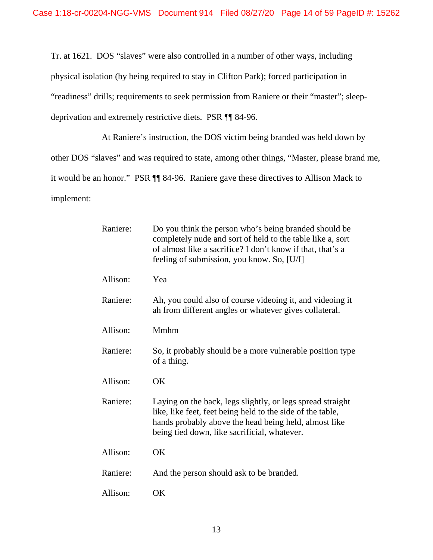Tr. at 1621. DOS "slaves" were also controlled in a number of other ways, including physical isolation (by being required to stay in Clifton Park); forced participation in "readiness" drills; requirements to seek permission from Raniere or their "master"; sleepdeprivation and extremely restrictive diets. PSR ¶¶ 84-96.

At Raniere's instruction, the DOS victim being branded was held down by other DOS "slaves" and was required to state, among other things, "Master, please brand me, it would be an honor." PSR ¶¶ 84-96. Raniere gave these directives to Allison Mack to implement:

| Raniere: | Do you think the person who's being branded should be<br>completely nude and sort of held to the table like a, sort<br>of almost like a sacrifice? I don't know if that, that's a<br>feeling of submission, you know. So, [U/I]   |  |
|----------|-----------------------------------------------------------------------------------------------------------------------------------------------------------------------------------------------------------------------------------|--|
| Allison: | Yea                                                                                                                                                                                                                               |  |
| Raniere: | Ah, you could also of course videoing it, and videoing it<br>ah from different angles or whatever gives collateral.                                                                                                               |  |
| Allison: | Mmhm                                                                                                                                                                                                                              |  |
| Raniere: | So, it probably should be a more vulnerable position type<br>of a thing.                                                                                                                                                          |  |
| Allison: | <b>OK</b>                                                                                                                                                                                                                         |  |
| Raniere: | Laying on the back, legs slightly, or legs spread straight<br>like, like feet, feet being held to the side of the table,<br>hands probably above the head being held, almost like<br>being tied down, like sacrificial, whatever. |  |
| Allison: | OK                                                                                                                                                                                                                                |  |
| Raniere: | And the person should ask to be branded.                                                                                                                                                                                          |  |
| Allison: | OK                                                                                                                                                                                                                                |  |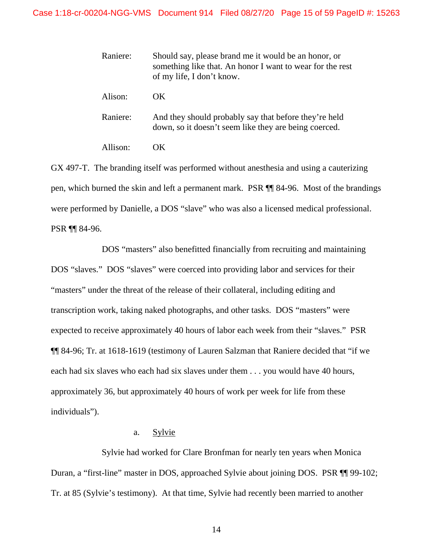| Raniere: | Should say, please brand me it would be an honor, or<br>something like that. An honor I want to wear for the rest<br>of my life, I don't know. |
|----------|------------------------------------------------------------------------------------------------------------------------------------------------|
| Alison:  | OK.                                                                                                                                            |
| Raniere: | And they should probably say that before they're held<br>down, so it doesn't seem like they are being coerced.                                 |
| Allison: | OK.                                                                                                                                            |

GX 497-T. The branding itself was performed without anesthesia and using a cauterizing pen, which burned the skin and left a permanent mark. PSR ¶¶ 84-96. Most of the brandings were performed by Danielle, a DOS "slave" who was also a licensed medical professional. PSR ¶¶ 84-96.

DOS "masters" also benefitted financially from recruiting and maintaining DOS "slaves." DOS "slaves" were coerced into providing labor and services for their "masters" under the threat of the release of their collateral, including editing and transcription work, taking naked photographs, and other tasks. DOS "masters" were expected to receive approximately 40 hours of labor each week from their "slaves." PSR ¶¶ 84-96; Tr. at 1618-1619 (testimony of Lauren Salzman that Raniere decided that "if we each had six slaves who each had six slaves under them . . . you would have 40 hours, approximately 36, but approximately 40 hours of work per week for life from these individuals").

## a. Sylvie

Sylvie had worked for Clare Bronfman for nearly ten years when Monica Duran, a "first-line" master in DOS, approached Sylvie about joining DOS. PSR ¶¶ 99-102; Tr. at 85 (Sylvie's testimony). At that time, Sylvie had recently been married to another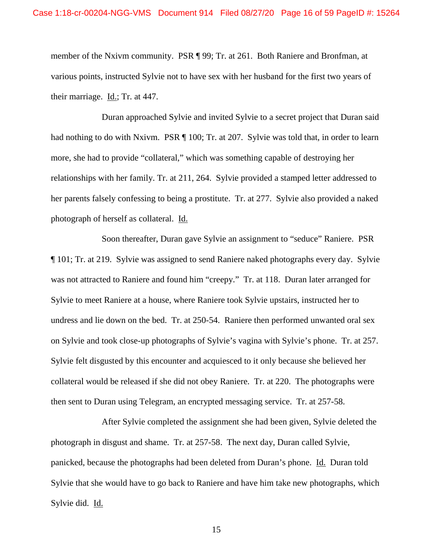member of the Nxivm community. PSR ¶ 99; Tr. at 261. Both Raniere and Bronfman, at various points, instructed Sylvie not to have sex with her husband for the first two years of their marriage. Id.; Tr. at 447.

Duran approached Sylvie and invited Sylvie to a secret project that Duran said had nothing to do with Nxivm. PSR ¶ 100; Tr. at 207. Sylvie was told that, in order to learn more, she had to provide "collateral," which was something capable of destroying her relationships with her family. Tr. at 211, 264. Sylvie provided a stamped letter addressed to her parents falsely confessing to being a prostitute. Tr. at 277. Sylvie also provided a naked photograph of herself as collateral. Id.

Soon thereafter, Duran gave Sylvie an assignment to "seduce" Raniere. PSR ¶ 101; Tr. at 219. Sylvie was assigned to send Raniere naked photographs every day. Sylvie was not attracted to Raniere and found him "creepy." Tr. at 118. Duran later arranged for Sylvie to meet Raniere at a house, where Raniere took Sylvie upstairs, instructed her to undress and lie down on the bed. Tr. at 250-54. Raniere then performed unwanted oral sex on Sylvie and took close-up photographs of Sylvie's vagina with Sylvie's phone. Tr. at 257. Sylvie felt disgusted by this encounter and acquiesced to it only because she believed her collateral would be released if she did not obey Raniere. Tr. at 220. The photographs were then sent to Duran using Telegram, an encrypted messaging service. Tr. at 257-58.

After Sylvie completed the assignment she had been given, Sylvie deleted the photograph in disgust and shame. Tr. at 257-58. The next day, Duran called Sylvie, panicked, because the photographs had been deleted from Duran's phone. Id. Duran told Sylvie that she would have to go back to Raniere and have him take new photographs, which Sylvie did. Id.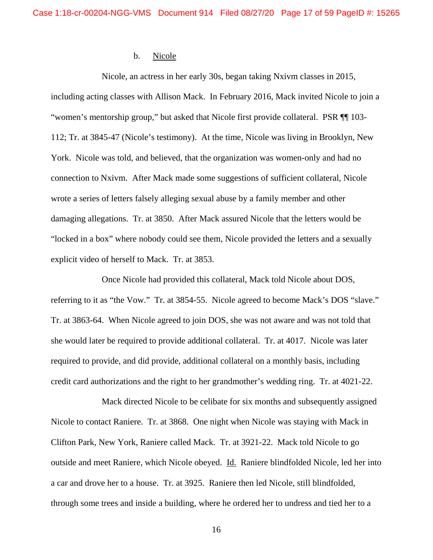### b. Nicole

Nicole, an actress in her early 30s, began taking Nxivm classes in 2015, including acting classes with Allison Mack. In February 2016, Mack invited Nicole to join a "women's mentorship group," but asked that Nicole first provide collateral. PSR ¶¶ 103- 112; Tr. at 3845-47 (Nicole's testimony). At the time, Nicole was living in Brooklyn, New York. Nicole was told, and believed, that the organization was women-only and had no connection to Nxivm. After Mack made some suggestions of sufficient collateral, Nicole wrote a series of letters falsely alleging sexual abuse by a family member and other damaging allegations. Tr. at 3850. After Mack assured Nicole that the letters would be "locked in a box" where nobody could see them, Nicole provided the letters and a sexually explicit video of herself to Mack. Tr. at 3853.

Once Nicole had provided this collateral, Mack told Nicole about DOS, referring to it as "the Vow." Tr. at 3854-55. Nicole agreed to become Mack's DOS "slave." Tr. at 3863-64. When Nicole agreed to join DOS, she was not aware and was not told that she would later be required to provide additional collateral. Tr. at 4017. Nicole was later required to provide, and did provide, additional collateral on a monthly basis, including credit card authorizations and the right to her grandmother's wedding ring. Tr. at 4021-22.

Mack directed Nicole to be celibate for six months and subsequently assigned Nicole to contact Raniere. Tr. at 3868. One night when Nicole was staying with Mack in Clifton Park, New York, Raniere called Mack. Tr. at 3921-22. Mack told Nicole to go outside and meet Raniere, which Nicole obeyed. Id. Raniere blindfolded Nicole, led her into a car and drove her to a house. Tr. at 3925. Raniere then led Nicole, still blindfolded, through some trees and inside a building, where he ordered her to undress and tied her to a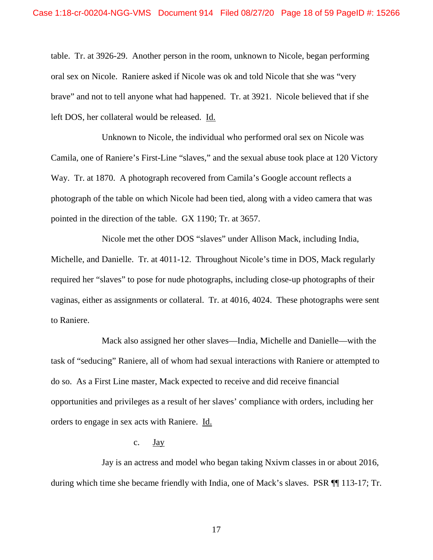table. Tr. at 3926-29. Another person in the room, unknown to Nicole, began performing oral sex on Nicole. Raniere asked if Nicole was ok and told Nicole that she was "very brave" and not to tell anyone what had happened. Tr. at 3921. Nicole believed that if she left DOS, her collateral would be released. Id.

Unknown to Nicole, the individual who performed oral sex on Nicole was Camila, one of Raniere's First-Line "slaves," and the sexual abuse took place at 120 Victory Way. Tr. at 1870. A photograph recovered from Camila's Google account reflects a photograph of the table on which Nicole had been tied, along with a video camera that was pointed in the direction of the table. GX 1190; Tr. at 3657.

Nicole met the other DOS "slaves" under Allison Mack, including India, Michelle, and Danielle. Tr. at 4011-12. Throughout Nicole's time in DOS, Mack regularly required her "slaves" to pose for nude photographs, including close-up photographs of their vaginas, either as assignments or collateral. Tr. at 4016, 4024. These photographs were sent to Raniere.

Mack also assigned her other slaves—India, Michelle and Danielle—with the task of "seducing" Raniere, all of whom had sexual interactions with Raniere or attempted to do so. As a First Line master, Mack expected to receive and did receive financial opportunities and privileges as a result of her slaves' compliance with orders, including her orders to engage in sex acts with Raniere. Id.

## c.  $\frac{\text{Jay}}{\text{gay}}$

Jay is an actress and model who began taking Nxivm classes in or about 2016, during which time she became friendly with India, one of Mack's slaves. PSR ¶¶ 113-17; Tr.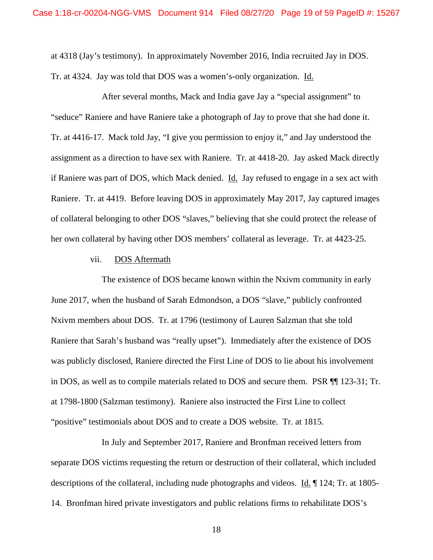at 4318 (Jay's testimony). In approximately November 2016, India recruited Jay in DOS. Tr. at 4324. Jay was told that DOS was a women's-only organization. Id.

After several months, Mack and India gave Jay a "special assignment" to "seduce" Raniere and have Raniere take a photograph of Jay to prove that she had done it. Tr. at 4416-17. Mack told Jay, "I give you permission to enjoy it," and Jay understood the assignment as a direction to have sex with Raniere. Tr. at 4418-20. Jay asked Mack directly if Raniere was part of DOS, which Mack denied. Id. Jay refused to engage in a sex act with Raniere. Tr. at 4419. Before leaving DOS in approximately May 2017, Jay captured images of collateral belonging to other DOS "slaves," believing that she could protect the release of her own collateral by having other DOS members' collateral as leverage. Tr. at 4423-25.

### vii. DOS Aftermath

The existence of DOS became known within the Nxivm community in early June 2017, when the husband of Sarah Edmondson, a DOS "slave," publicly confronted Nxivm members about DOS. Tr. at 1796 (testimony of Lauren Salzman that she told Raniere that Sarah's husband was "really upset"). Immediately after the existence of DOS was publicly disclosed, Raniere directed the First Line of DOS to lie about his involvement in DOS, as well as to compile materials related to DOS and secure them. PSR ¶¶ 123-31; Tr. at 1798-1800 (Salzman testimony). Raniere also instructed the First Line to collect "positive" testimonials about DOS and to create a DOS website. Tr. at 1815.

In July and September 2017, Raniere and Bronfman received letters from separate DOS victims requesting the return or destruction of their collateral, which included descriptions of the collateral, including nude photographs and videos. Id. ¶ 124; Tr. at 1805- 14. Bronfman hired private investigators and public relations firms to rehabilitate DOS's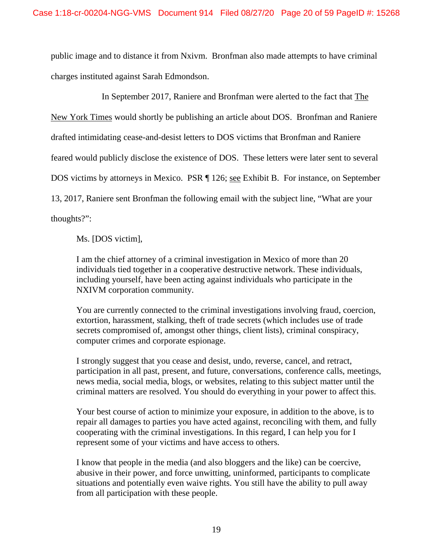public image and to distance it from Nxivm. Bronfman also made attempts to have criminal charges instituted against Sarah Edmondson.

In September 2017, Raniere and Bronfman were alerted to the fact that The

New York Times would shortly be publishing an article about DOS. Bronfman and Raniere

drafted intimidating cease-and-desist letters to DOS victims that Bronfman and Raniere

feared would publicly disclose the existence of DOS. These letters were later sent to several

DOS victims by attorneys in Mexico. PSR ¶ 126; see Exhibit B. For instance, on September

13, 2017, Raniere sent Bronfman the following email with the subject line, "What are your

thoughts?":

Ms. [DOS victim],

I am the chief attorney of a criminal investigation in Mexico of more than 20 individuals tied together in a cooperative destructive network. These individuals, including yourself, have been acting against individuals who participate in the NXIVM corporation community.

You are currently connected to the criminal investigations involving fraud, coercion, extortion, harassment, stalking, theft of trade secrets (which includes use of trade secrets compromised of, amongst other things, client lists), criminal conspiracy, computer crimes and corporate espionage.

I strongly suggest that you cease and desist, undo, reverse, cancel, and retract, participation in all past, present, and future, conversations, conference calls, meetings, news media, social media, blogs, or websites, relating to this subject matter until the criminal matters are resolved. You should do everything in your power to affect this.

Your best course of action to minimize your exposure, in addition to the above, is to repair all damages to parties you have acted against, reconciling with them, and fully cooperating with the criminal investigations. In this regard, I can help you for I represent some of your victims and have access to others.

I know that people in the media (and also bloggers and the like) can be coercive, abusive in their power, and force unwitting, uninformed, participants to complicate situations and potentially even waive rights. You still have the ability to pull away from all participation with these people.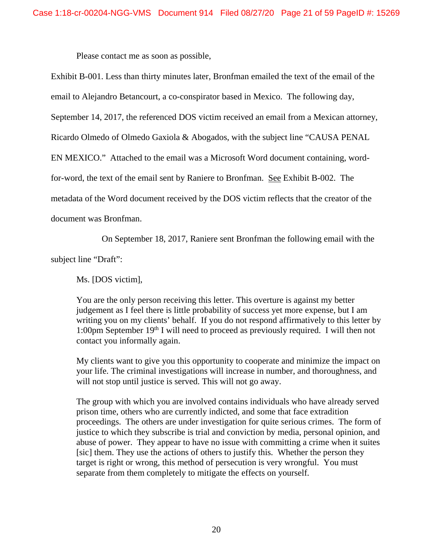Please contact me as soon as possible,

Exhibit B-001. Less than thirty minutes later, Bronfman emailed the text of the email of the email to Alejandro Betancourt, a co-conspirator based in Mexico. The following day, September 14, 2017, the referenced DOS victim received an email from a Mexican attorney, Ricardo Olmedo of Olmedo Gaxiola & Abogados, with the subject line "CAUSA PENAL EN MEXICO." Attached to the email was a Microsoft Word document containing, wordfor-word, the text of the email sent by Raniere to Bronfman. See Exhibit B-002. The metadata of the Word document received by the DOS victim reflects that the creator of the document was Bronfman.

On September 18, 2017, Raniere sent Bronfman the following email with the

subject line "Draft":

Ms. [DOS victim],

You are the only person receiving this letter. This overture is against my better judgement as I feel there is little probability of success yet more expense, but I am writing you on my clients' behalf. If you do not respond affirmatively to this letter by 1:00pm September 19<sup>th</sup> I will need to proceed as previously required. I will then not contact you informally again.

My clients want to give you this opportunity to cooperate and minimize the impact on your life. The criminal investigations will increase in number, and thoroughness, and will not stop until justice is served. This will not go away.

The group with which you are involved contains individuals who have already served prison time, others who are currently indicted, and some that face extradition proceedings. The others are under investigation for quite serious crimes. The form of justice to which they subscribe is trial and conviction by media, personal opinion, and abuse of power. They appear to have no issue with committing a crime when it suites [sic] them. They use the actions of others to justify this. Whether the person they target is right or wrong, this method of persecution is very wrongful. You must separate from them completely to mitigate the effects on yourself.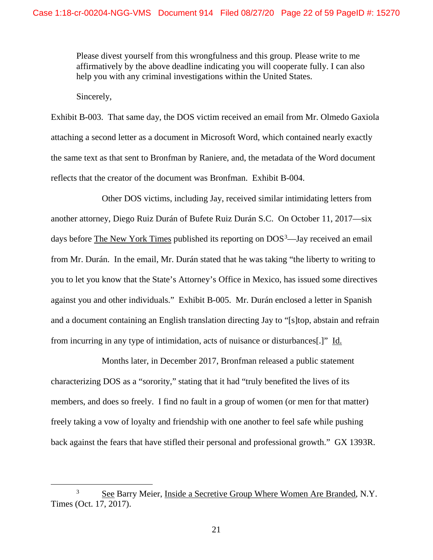Please divest yourself from this wrongfulness and this group. Please write to me affirmatively by the above deadline indicating you will cooperate fully. I can also help you with any criminal investigations within the United States.

Sincerely,

Exhibit B-003. That same day, the DOS victim received an email from Mr. Olmedo Gaxiola attaching a second letter as a document in Microsoft Word, which contained nearly exactly the same text as that sent to Bronfman by Raniere, and, the metadata of the Word document reflects that the creator of the document was Bronfman. Exhibit B-004.

Other DOS victims, including Jay, received similar intimidating letters from another attorney, Diego Ruiz Durán of Bufete Ruiz Durán S.C. On October 11, 2017—six days before **The New York Times** published its reporting on DOS<sup>[3](#page-21-0)</sup>—Jay received an email from Mr. Durán. In the email, Mr. Durán stated that he was taking "the liberty to writing to you to let you know that the State's Attorney's Office in Mexico, has issued some directives against you and other individuals." Exhibit B-005. Mr. Durán enclosed a letter in Spanish and a document containing an English translation directing Jay to "[s]top, abstain and refrain from incurring in any type of intimidation, acts of nuisance or disturbances[.]" Id.

Months later, in December 2017, Bronfman released a public statement characterizing DOS as a "sorority," stating that it had "truly benefited the lives of its members, and does so freely. I find no fault in a group of women (or men for that matter) freely taking a vow of loyalty and friendship with one another to feel safe while pushing back against the fears that have stifled their personal and professional growth." GX 1393R.

<span id="page-21-0"></span><sup>&</sup>lt;sup>3</sup> See Barry Meier, Inside a Secretive Group Where Women Are Branded, N.Y. Times (Oct. 17, 2017).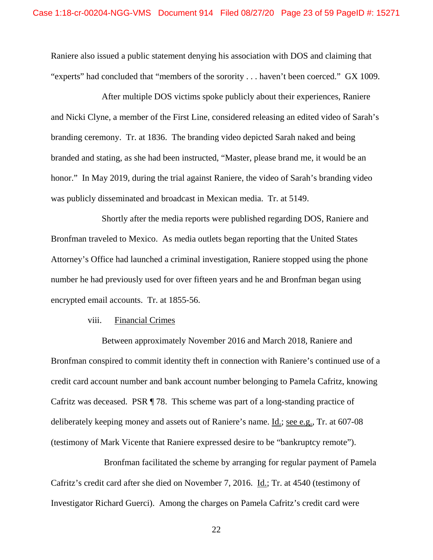Raniere also issued a public statement denying his association with DOS and claiming that "experts" had concluded that "members of the sorority . . . haven't been coerced." GX 1009.

After multiple DOS victims spoke publicly about their experiences, Raniere and Nicki Clyne, a member of the First Line, considered releasing an edited video of Sarah's branding ceremony. Tr. at 1836. The branding video depicted Sarah naked and being branded and stating, as she had been instructed, "Master, please brand me, it would be an honor." In May 2019, during the trial against Raniere, the video of Sarah's branding video was publicly disseminated and broadcast in Mexican media. Tr. at 5149.

Shortly after the media reports were published regarding DOS, Raniere and Bronfman traveled to Mexico. As media outlets began reporting that the United States Attorney's Office had launched a criminal investigation, Raniere stopped using the phone number he had previously used for over fifteen years and he and Bronfman began using encrypted email accounts. Tr. at 1855-56.

### viii. Financial Crimes

Between approximately November 2016 and March 2018, Raniere and Bronfman conspired to commit identity theft in connection with Raniere's continued use of a credit card account number and bank account number belonging to Pamela Cafritz, knowing Cafritz was deceased. PSR ¶ 78. This scheme was part of a long-standing practice of deliberately keeping money and assets out of Raniere's name. Id.; see e.g., Tr. at 607-08 (testimony of Mark Vicente that Raniere expressed desire to be "bankruptcy remote").

Bronfman facilitated the scheme by arranging for regular payment of Pamela Cafritz's credit card after she died on November 7, 2016. Id.; Tr. at 4540 (testimony of Investigator Richard Guerci). Among the charges on Pamela Cafritz's credit card were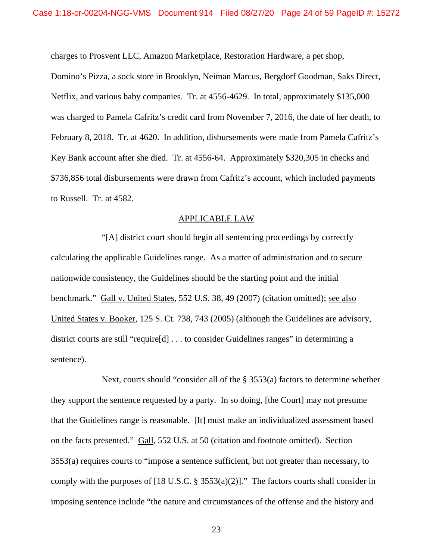charges to Prosvent LLC, Amazon Marketplace, Restoration Hardware, a pet shop,

Domino's Pizza, a sock store in Brooklyn, Neiman Marcus, Bergdorf Goodman, Saks Direct, Netflix, and various baby companies. Tr. at 4556-4629. In total, approximately \$135,000 was charged to Pamela Cafritz's credit card from November 7, 2016, the date of her death, to February 8, 2018. Tr. at 4620. In addition, disbursements were made from Pamela Cafritz's Key Bank account after she died. Tr. at 4556-64. Approximately \$320,305 in checks and \$736,856 total disbursements were drawn from Cafritz's account, which included payments to Russell. Tr. at 4582.

## APPLICABLE LAW

"[A] district court should begin all sentencing proceedings by correctly calculating the applicable Guidelines range. As a matter of administration and to secure nationwide consistency, the Guidelines should be the starting point and the initial benchmark." Gall v. United States, 552 U.S. 38, 49 (2007) (citation omitted); see also United States v. Booker, 125 S. Ct. 738, 743 (2005) (although the Guidelines are advisory, district courts are still "require[d] . . . to consider Guidelines ranges" in determining a sentence).

Next, courts should "consider all of the § 3553(a) factors to determine whether they support the sentence requested by a party. In so doing, [the Court] may not presume that the Guidelines range is reasonable. [It] must make an individualized assessment based on the facts presented." Gall, 552 U.S. at 50 (citation and footnote omitted). Section 3553(a) requires courts to "impose a sentence sufficient, but not greater than necessary, to comply with the purposes of [18 U.S.C. § 3553(a)(2)]." The factors courts shall consider in imposing sentence include "the nature and circumstances of the offense and the history and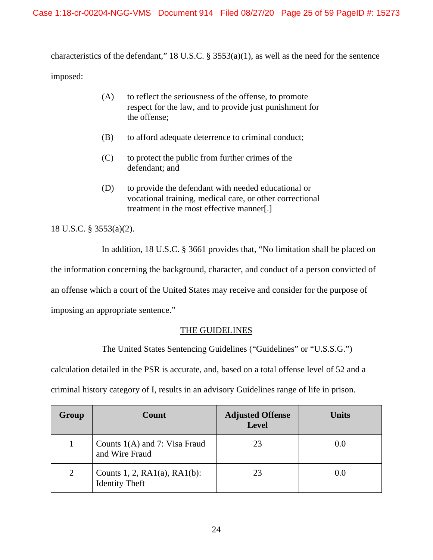characteristics of the defendant," 18 U.S.C. § 3553(a)(1), as well as the need for the sentence imposed:

- (A) to reflect the seriousness of the offense, to promote respect for the law, and to provide just punishment for the offense;
- (B) to afford adequate deterrence to criminal conduct;
- (C) to protect the public from further crimes of the defendant; and
- (D) to provide the defendant with needed educational or vocational training, medical care, or other correctional treatment in the most effective manner[.]

18 U.S.C. § 3553(a)(2).

In addition, 18 U.S.C. § 3661 provides that, "No limitation shall be placed on

the information concerning the background, character, and conduct of a person convicted of

an offense which a court of the United States may receive and consider for the purpose of

imposing an appropriate sentence."

# THE GUIDELINES

The United States Sentencing Guidelines ("Guidelines" or "U.S.S.G.")

calculation detailed in the PSR is accurate, and, based on a total offense level of 52 and a

criminal history category of I, results in an advisory Guidelines range of life in prison.

| Group | Count                                                       | <b>Adjusted Offense</b><br><b>Level</b> | <b>Units</b> |
|-------|-------------------------------------------------------------|-----------------------------------------|--------------|
|       | Counts $1(A)$ and 7: Visa Fraud<br>and Wire Fraud           | 23                                      | 0.0          |
| 2     | Counts 1, 2, $RA1(a)$ , $RA1(b)$ :<br><b>Identity Theft</b> | 23                                      | (0.0)        |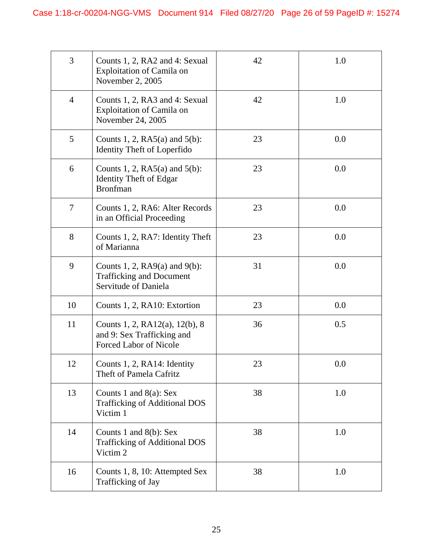| 3              | Counts 1, 2, RA2 and 4: Sexual<br><b>Exploitation of Camila on</b><br>November 2, 2005        | 42 | 1.0 |
|----------------|-----------------------------------------------------------------------------------------------|----|-----|
| $\overline{4}$ | Counts 1, 2, RA3 and 4: Sexual<br><b>Exploitation of Camila on</b><br>November 24, 2005       | 42 | 1.0 |
| 5              | Counts 1, 2, $RA5(a)$ and $5(b)$ :<br><b>Identity Theft of Loperfido</b>                      | 23 | 0.0 |
| 6              | Counts 1, 2, $RA5(a)$ and $5(b)$ :<br><b>Identity Theft of Edgar</b><br><b>Bronfman</b>       | 23 | 0.0 |
| 7              | Counts 1, 2, RA6: Alter Records<br>in an Official Proceeding                                  | 23 | 0.0 |
| 8              | Counts 1, 2, RA7: Identity Theft<br>of Marianna                                               | 23 | 0.0 |
| 9              | Counts 1, 2, $RA9(a)$ and $9(b)$ :<br><b>Trafficking and Document</b><br>Servitude of Daniela | 31 | 0.0 |
| 10             | Counts 1, 2, RA10: Extortion                                                                  | 23 | 0.0 |
| 11             | Counts 1, 2, RA12(a), 12(b), 8<br>and 9: Sex Trafficking and<br><b>Forced Labor of Nicole</b> | 36 | 0.5 |
| 12             | Counts 1, 2, RA14: Identity<br>Theft of Pamela Cafritz                                        | 23 | 0.0 |
| 13             | Counts 1 and $8(a)$ : Sex<br><b>Trafficking of Additional DOS</b><br>Victim 1                 | 38 | 1.0 |
| 14             | Counts 1 and $8(b)$ : Sex<br><b>Trafficking of Additional DOS</b><br>Victim 2                 | 38 | 1.0 |
| 16             | Counts 1, 8, 10: Attempted Sex<br>Trafficking of Jay                                          | 38 | 1.0 |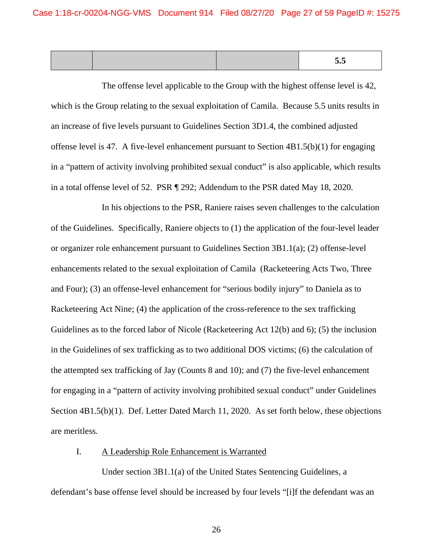|  |  | ັບເ<br>___ |
|--|--|------------|
|  |  |            |
|  |  |            |

The offense level applicable to the Group with the highest offense level is 42, which is the Group relating to the sexual exploitation of Camila. Because 5.5 units results in an increase of five levels pursuant to Guidelines Section 3D1.4, the combined adjusted offense level is 47. A five-level enhancement pursuant to Section  $4B1.5(b)(1)$  for engaging in a "pattern of activity involving prohibited sexual conduct" is also applicable, which results in a total offense level of 52. PSR ¶ 292; Addendum to the PSR dated May 18, 2020.

In his objections to the PSR, Raniere raises seven challenges to the calculation of the Guidelines. Specifically, Raniere objects to (1) the application of the four-level leader or organizer role enhancement pursuant to Guidelines Section 3B1.1(a); (2) offense-level enhancements related to the sexual exploitation of Camila (Racketeering Acts Two, Three and Four); (3) an offense-level enhancement for "serious bodily injury" to Daniela as to Racketeering Act Nine; (4) the application of the cross-reference to the sex trafficking Guidelines as to the forced labor of Nicole (Racketeering Act 12(b) and 6); (5) the inclusion in the Guidelines of sex trafficking as to two additional DOS victims; (6) the calculation of the attempted sex trafficking of Jay (Counts 8 and 10); and (7) the five-level enhancement for engaging in a "pattern of activity involving prohibited sexual conduct" under Guidelines Section 4B1.5(b)(1). Def. Letter Dated March 11, 2020. As set forth below, these objections are meritless.

# I. A Leadership Role Enhancement is Warranted

Under section 3B1.1(a) of the United States Sentencing Guidelines, a defendant's base offense level should be increased by four levels "[i]f the defendant was an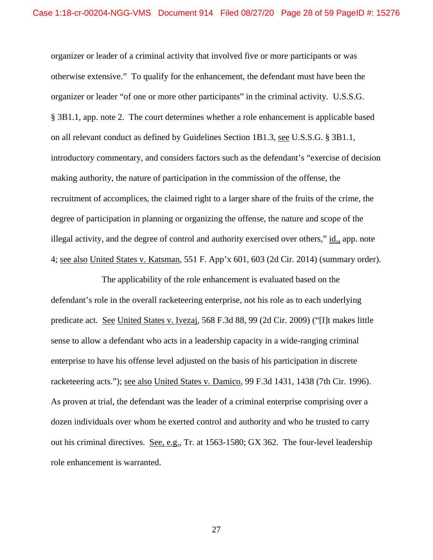organizer or leader of a criminal activity that involved five or more participants or was otherwise extensive." To qualify for the enhancement, the defendant must have been the organizer or leader "of one or more other participants" in the criminal activity. U.S.S.G. § 3B1.1, app. note 2. The court determines whether a role enhancement is applicable based on all relevant conduct as defined by Guidelines Section 1B1.3, see U.S.S.G. § 3B1.1, introductory commentary, and considers factors such as the defendant's "exercise of decision making authority, the nature of participation in the commission of the offense, the recruitment of accomplices, the claimed right to a larger share of the fruits of the crime, the degree of participation in planning or organizing the offense, the nature and scope of the illegal activity, and the degree of control and authority exercised over others," id., app. note 4; see also United States v. Katsman, 551 F. App'x 601, 603 (2d Cir. 2014) (summary order).

The applicability of the role enhancement is evaluated based on the defendant's role in the overall racketeering enterprise, not his role as to each underlying predicate act. See United States v. Ivezaj, 568 F.3d 88, 99 (2d Cir. 2009) ("[I]t makes little sense to allow a defendant who acts in a leadership capacity in a wide-ranging criminal enterprise to have his offense level adjusted on the basis of his participation in discrete racketeering acts."); see also United States v. Damico, 99 F.3d 1431, 1438 (7th Cir. 1996). As proven at trial, the defendant was the leader of a criminal enterprise comprising over a dozen individuals over whom he exerted control and authority and who he trusted to carry out his criminal directives. See, e.g., Tr. at 1563-1580; GX 362. The four-level leadership role enhancement is warranted.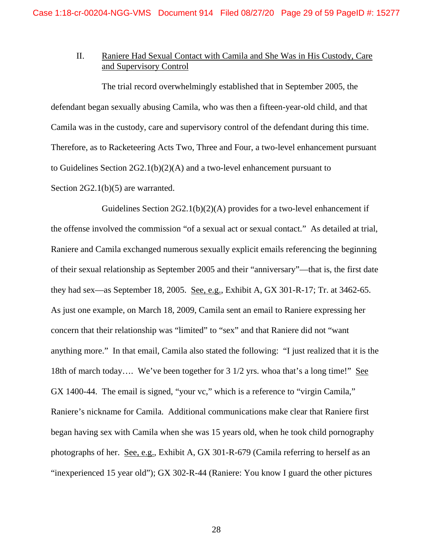# II. Raniere Had Sexual Contact with Camila and She Was in His Custody, Care and Supervisory Control

The trial record overwhelmingly established that in September 2005, the defendant began sexually abusing Camila, who was then a fifteen-year-old child, and that Camila was in the custody, care and supervisory control of the defendant during this time. Therefore, as to Racketeering Acts Two, Three and Four, a two-level enhancement pursuant to Guidelines Section 2G2.1(b)(2)(A) and a two-level enhancement pursuant to Section 2G2.1(b)(5) are warranted.

Guidelines Section 2G2.1(b)(2)(A) provides for a two-level enhancement if the offense involved the commission "of a sexual act or sexual contact." As detailed at trial, Raniere and Camila exchanged numerous sexually explicit emails referencing the beginning of their sexual relationship as September 2005 and their "anniversary"—that is, the first date they had sex—as September 18, 2005. See, e.g., Exhibit A, GX 301-R-17; Tr. at 3462-65. As just one example, on March 18, 2009, Camila sent an email to Raniere expressing her concern that their relationship was "limited" to "sex" and that Raniere did not "want anything more." In that email, Camila also stated the following: "I just realized that it is the 18th of march today…. We've been together for 3 1/2 yrs. whoa that's a long time!" See GX 1400-44. The email is signed, "your vc," which is a reference to "virgin Camila," Raniere's nickname for Camila. Additional communications make clear that Raniere first began having sex with Camila when she was 15 years old, when he took child pornography photographs of her. See, e.g., Exhibit A, GX 301-R-679 (Camila referring to herself as an "inexperienced 15 year old"); GX 302-R-44 (Raniere: You know I guard the other pictures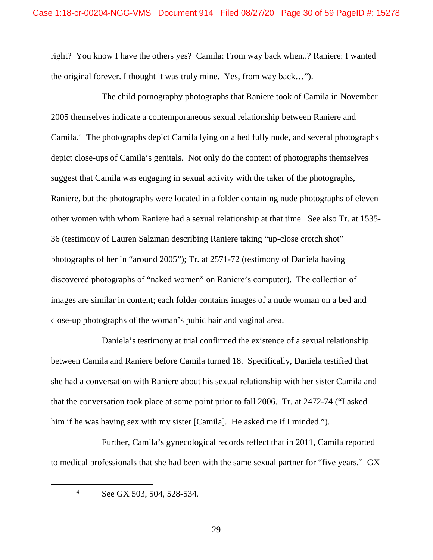right? You know I have the others yes? Camila: From way back when..? Raniere: I wanted the original forever. I thought it was truly mine. Yes, from way back…").

The child pornography photographs that Raniere took of Camila in November 2005 themselves indicate a contemporaneous sexual relationship between Raniere and Camila.[4](#page-29-0) The photographs depict Camila lying on a bed fully nude, and several photographs depict close-ups of Camila's genitals. Not only do the content of photographs themselves suggest that Camila was engaging in sexual activity with the taker of the photographs, Raniere, but the photographs were located in a folder containing nude photographs of eleven other women with whom Raniere had a sexual relationship at that time. See also Tr. at 1535- 36 (testimony of Lauren Salzman describing Raniere taking "up-close crotch shot" photographs of her in "around 2005"); Tr. at 2571-72 (testimony of Daniela having discovered photographs of "naked women" on Raniere's computer). The collection of images are similar in content; each folder contains images of a nude woman on a bed and close-up photographs of the woman's pubic hair and vaginal area.

Daniela's testimony at trial confirmed the existence of a sexual relationship between Camila and Raniere before Camila turned 18. Specifically, Daniela testified that she had a conversation with Raniere about his sexual relationship with her sister Camila and that the conversation took place at some point prior to fall 2006. Tr. at 2472-74 ("I asked him if he was having sex with my sister [Camila]. He asked me if I minded.").

<span id="page-29-0"></span>Further, Camila's gynecological records reflect that in 2011, Camila reported to medical professionals that she had been with the same sexual partner for "five years." GX

<sup>&</sup>lt;sup>4</sup> See GX 503, 504, 528-534.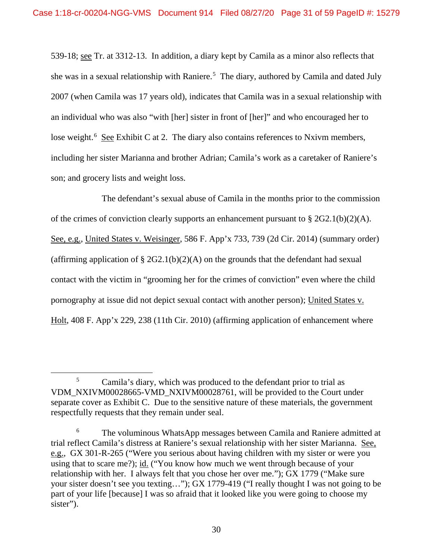539-18; see Tr. at 3312-13. In addition, a diary kept by Camila as a minor also reflects that she was in a sexual relationship with Raniere.<sup>[5](#page-30-0)</sup> The diary, authored by Camila and dated July 2007 (when Camila was 17 years old), indicates that Camila was in a sexual relationship with an individual who was also "with [her] sister in front of [her]" and who encouraged her to lose weight.<sup>[6](#page-30-1)</sup> See Exhibit C at 2. The diary also contains references to Nxivm members, including her sister Marianna and brother Adrian; Camila's work as a caretaker of Raniere's son; and grocery lists and weight loss.

The defendant's sexual abuse of Camila in the months prior to the commission of the crimes of conviction clearly supports an enhancement pursuant to  $\S 2G2.1(b)(2)(A)$ . See, e.g., United States v. Weisinger, 586 F. App'x 733, 739 (2d Cir. 2014) (summary order) (affirming application of  $\S 2G2.1(b)(2)(A)$  on the grounds that the defendant had sexual contact with the victim in "grooming her for the crimes of conviction" even where the child pornography at issue did not depict sexual contact with another person); United States v. Holt, 408 F. App'x 229, 238 (11th Cir. 2010) (affirming application of enhancement where

<span id="page-30-0"></span><sup>&</sup>lt;sup>5</sup> Camila's diary, which was produced to the defendant prior to trial as VDM\_NXIVM00028665-VMD\_NXIVM00028761, will be provided to the Court under separate cover as Exhibit C. Due to the sensitive nature of these materials, the government respectfully requests that they remain under seal.

<span id="page-30-1"></span><sup>6</sup> The voluminous WhatsApp messages between Camila and Raniere admitted at trial reflect Camila's distress at Raniere's sexual relationship with her sister Marianna. See, e.g., GX 301-R-265 ("Were you serious about having children with my sister or were you using that to scare me?); id. ("You know how much we went through because of your relationship with her. I always felt that you chose her over me."); GX 1779 ("Make sure your sister doesn't see you texting…"); GX 1779-419 ("I really thought I was not going to be part of your life [because] I was so afraid that it looked like you were going to choose my sister").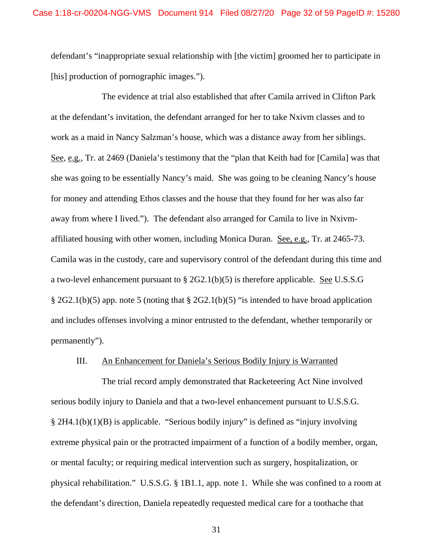defendant's "inappropriate sexual relationship with [the victim] groomed her to participate in [his] production of pornographic images.").

The evidence at trial also established that after Camila arrived in Clifton Park at the defendant's invitation, the defendant arranged for her to take Nxivm classes and to work as a maid in Nancy Salzman's house, which was a distance away from her siblings. See, e.g., Tr. at 2469 (Daniela's testimony that the "plan that Keith had for [Camila] was that she was going to be essentially Nancy's maid. She was going to be cleaning Nancy's house for money and attending Ethos classes and the house that they found for her was also far away from where I lived."). The defendant also arranged for Camila to live in Nxivmaffiliated housing with other women, including Monica Duran. See, e.g., Tr. at 2465-73. Camila was in the custody, care and supervisory control of the defendant during this time and a two-level enhancement pursuant to § 2G2.1(b)(5) is therefore applicable. See U.S.S.G § 2G2.1(b)(5) app. note 5 (noting that § 2G2.1(b)(5) "is intended to have broad application and includes offenses involving a minor entrusted to the defendant, whether temporarily or permanently").

### III. An Enhancement for Daniela's Serious Bodily Injury is Warranted

The trial record amply demonstrated that Racketeering Act Nine involved serious bodily injury to Daniela and that a two-level enhancement pursuant to U.S.S.G. § 2H4.1(b)(1)(B) is applicable. "Serious bodily injury" is defined as "injury involving extreme physical pain or the protracted impairment of a function of a bodily member, organ, or mental faculty; or requiring medical intervention such as surgery, hospitalization, or physical rehabilitation." U.S.S.G. § 1B1.1, app. note 1. While she was confined to a room at the defendant's direction, Daniela repeatedly requested medical care for a toothache that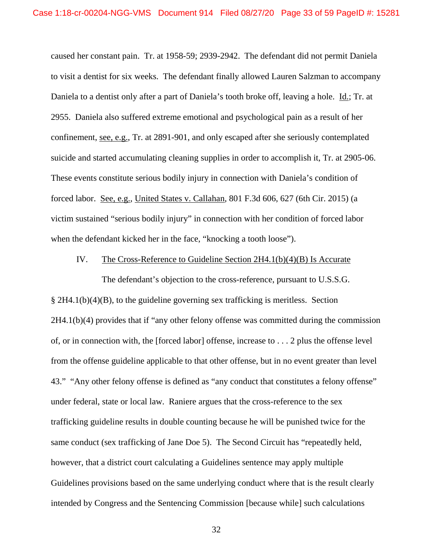caused her constant pain. Tr. at 1958-59; 2939-2942. The defendant did not permit Daniela to visit a dentist for six weeks. The defendant finally allowed Lauren Salzman to accompany Daniela to a dentist only after a part of Daniela's tooth broke off, leaving a hole. Id.; Tr. at 2955. Daniela also suffered extreme emotional and psychological pain as a result of her confinement, see, e.g., Tr. at 2891-901, and only escaped after she seriously contemplated suicide and started accumulating cleaning supplies in order to accomplish it, Tr. at 2905-06. These events constitute serious bodily injury in connection with Daniela's condition of forced labor. See, e.g., United States v. Callahan, 801 F.3d 606, 627 (6th Cir. 2015) (a victim sustained "serious bodily injury" in connection with her condition of forced labor when the defendant kicked her in the face, "knocking a tooth loose").

### IV. The Cross-Reference to Guideline Section 2H4.1(b)(4)(B) Is Accurate

The defendant's objection to the cross-reference, pursuant to U.S.S.G. § 2H4.1(b)(4)(B), to the guideline governing sex trafficking is meritless. Section 2H4.1(b)(4) provides that if "any other felony offense was committed during the commission of, or in connection with, the [forced labor] offense, increase to . . . 2 plus the offense level from the offense guideline applicable to that other offense, but in no event greater than level 43." "Any other felony offense is defined as "any conduct that constitutes a felony offense" under federal, state or local law. Raniere argues that the cross-reference to the sex trafficking guideline results in double counting because he will be punished twice for the same conduct (sex trafficking of Jane Doe 5). The Second Circuit has "repeatedly held, however, that a district court calculating a Guidelines sentence may apply multiple Guidelines provisions based on the same underlying conduct where that is the result clearly intended by Congress and the Sentencing Commission [because while] such calculations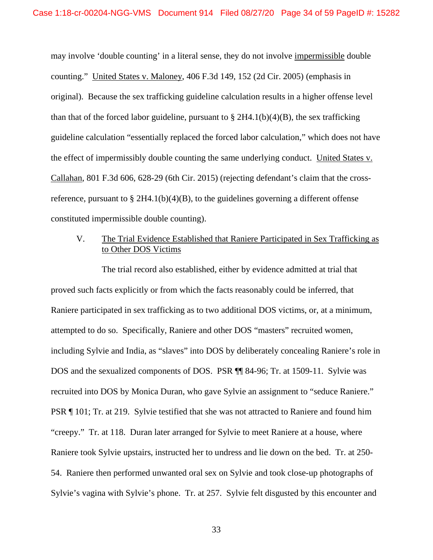may involve 'double counting' in a literal sense, they do not involve impermissible double counting." United States v. Maloney, 406 F.3d 149, 152 (2d Cir. 2005) (emphasis in original). Because the sex trafficking guideline calculation results in a higher offense level than that of the forced labor guideline, pursuant to  $\S 2H4.1(b)(4)(B)$ , the sex trafficking guideline calculation "essentially replaced the forced labor calculation," which does not have the effect of impermissibly double counting the same underlying conduct. United States v. Callahan, 801 F.3d 606, 628-29 (6th Cir. 2015) (rejecting defendant's claim that the crossreference, pursuant to  $\S 2H4.1(b)(4)(B)$ , to the guidelines governing a different offense constituted impermissible double counting).

# V. The Trial Evidence Established that Raniere Participated in Sex Trafficking as to Other DOS Victims

The trial record also established, either by evidence admitted at trial that proved such facts explicitly or from which the facts reasonably could be inferred, that Raniere participated in sex trafficking as to two additional DOS victims, or, at a minimum, attempted to do so. Specifically, Raniere and other DOS "masters" recruited women, including Sylvie and India, as "slaves" into DOS by deliberately concealing Raniere's role in DOS and the sexualized components of DOS. PSR ¶¶ 84-96; Tr. at 1509-11. Sylvie was recruited into DOS by Monica Duran, who gave Sylvie an assignment to "seduce Raniere." PSR ¶ 101; Tr. at 219. Sylvie testified that she was not attracted to Raniere and found him "creepy." Tr. at 118. Duran later arranged for Sylvie to meet Raniere at a house, where Raniere took Sylvie upstairs, instructed her to undress and lie down on the bed. Tr. at 250- 54. Raniere then performed unwanted oral sex on Sylvie and took close-up photographs of Sylvie's vagina with Sylvie's phone. Tr. at 257. Sylvie felt disgusted by this encounter and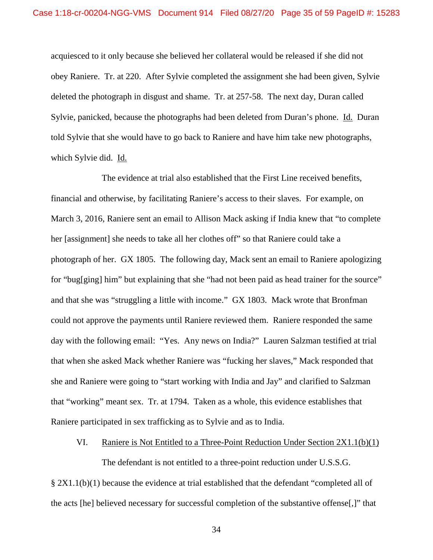acquiesced to it only because she believed her collateral would be released if she did not obey Raniere. Tr. at 220. After Sylvie completed the assignment she had been given, Sylvie deleted the photograph in disgust and shame. Tr. at 257-58. The next day, Duran called Sylvie, panicked, because the photographs had been deleted from Duran's phone. Id. Duran told Sylvie that she would have to go back to Raniere and have him take new photographs, which Sylvie did. Id.

The evidence at trial also established that the First Line received benefits, financial and otherwise, by facilitating Raniere's access to their slaves. For example, on March 3, 2016, Raniere sent an email to Allison Mack asking if India knew that "to complete her [assignment] she needs to take all her clothes off" so that Raniere could take a photograph of her. GX 1805. The following day, Mack sent an email to Raniere apologizing for "bug[ging] him" but explaining that she "had not been paid as head trainer for the source" and that she was "struggling a little with income." GX 1803. Mack wrote that Bronfman could not approve the payments until Raniere reviewed them. Raniere responded the same day with the following email: "Yes. Any news on India?" Lauren Salzman testified at trial that when she asked Mack whether Raniere was "fucking her slaves," Mack responded that she and Raniere were going to "start working with India and Jay" and clarified to Salzman that "working" meant sex. Tr. at 1794. Taken as a whole, this evidence establishes that Raniere participated in sex trafficking as to Sylvie and as to India.

### VI. Raniere is Not Entitled to a Three-Point Reduction Under Section  $2X1.1(b)(1)$

The defendant is not entitled to a three-point reduction under U.S.S.G.

§ 2X1.1(b)(1) because the evidence at trial established that the defendant "completed all of the acts [he] believed necessary for successful completion of the substantive offense[,]" that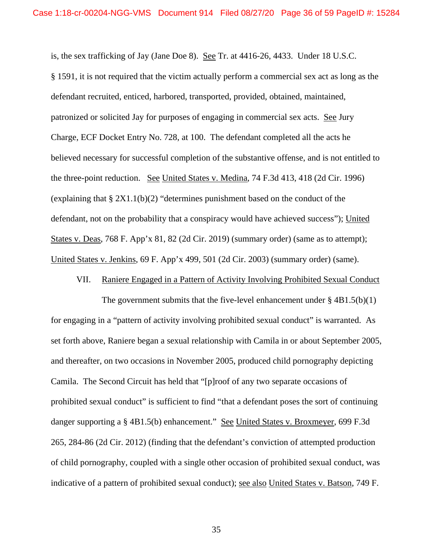is, the sex trafficking of Jay (Jane Doe 8). See Tr. at 4416-26, 4433. Under 18 U.S.C. § 1591, it is not required that the victim actually perform a commercial sex act as long as the defendant recruited, enticed, harbored, transported, provided, obtained, maintained, patronized or solicited Jay for purposes of engaging in commercial sex acts. See Jury Charge, ECF Docket Entry No. 728, at 100. The defendant completed all the acts he believed necessary for successful completion of the substantive offense, and is not entitled to the three-point reduction. See United States v. Medina, 74 F.3d 413, 418 (2d Cir. 1996) (explaining that  $\S 2X1.1(b)(2)$  "determines punishment based on the conduct of the defendant, not on the probability that a conspiracy would have achieved success"); United States v. Deas, 768 F. App'x 81, 82 (2d Cir. 2019) (summary order) (same as to attempt); United States v. Jenkins, 69 F. App'x 499, 501 (2d Cir. 2003) (summary order) (same).

# VII. Raniere Engaged in a Pattern of Activity Involving Prohibited Sexual Conduct

The government submits that the five-level enhancement under  $\S$  4B1.5(b)(1) for engaging in a "pattern of activity involving prohibited sexual conduct" is warranted. As set forth above, Raniere began a sexual relationship with Camila in or about September 2005, and thereafter, on two occasions in November 2005, produced child pornography depicting Camila. The Second Circuit has held that "[p]roof of any two separate occasions of prohibited sexual conduct" is sufficient to find "that a defendant poses the sort of continuing danger supporting a § 4B1.5(b) enhancement." See United States v. Broxmeyer, 699 F.3d 265, 284-86 (2d Cir. 2012) (finding that the defendant's conviction of attempted production of child pornography, coupled with a single other occasion of prohibited sexual conduct, was indicative of a pattern of prohibited sexual conduct); see also United States v. Batson, 749 F.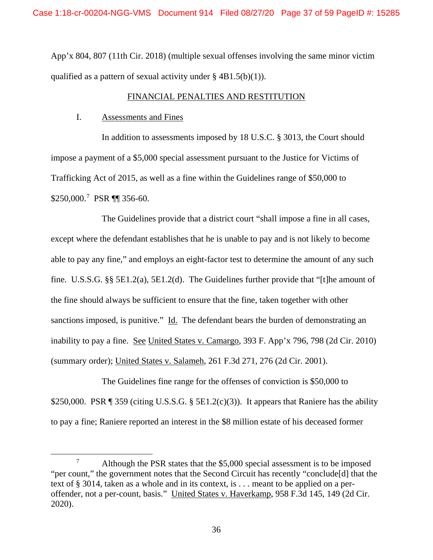App'x 804, 807 (11th Cir. 2018) (multiple sexual offenses involving the same minor victim qualified as a pattern of sexual activity under  $\S$  4B1.5(b)(1)).

### FINANCIAL PENALTIES AND RESTITUTION

## I. Assessments and Fines

In addition to assessments imposed by 18 U.S.C. § 3013, the Court should impose a payment of a \$5,000 special assessment pursuant to the Justice for Victims of Trafficking Act of 2015, as well as a fine within the Guidelines range of \$50,000 to \$250,000.<sup>[7](#page-36-0)</sup> PSR ¶¶ 356-60.

The Guidelines provide that a district court "shall impose a fine in all cases, except where the defendant establishes that he is unable to pay and is not likely to become able to pay any fine," and employs an eight-factor test to determine the amount of any such fine. U.S.S.G. §§ 5E1.2(a), 5E1.2(d). The Guidelines further provide that "[t]he amount of the fine should always be sufficient to ensure that the fine, taken together with other sanctions imposed, is punitive." Id. The defendant bears the burden of demonstrating an inability to pay a fine. See United States v. Camargo, 393 F. App'x 796, 798 (2d Cir. 2010) (summary order); United States v. Salameh, 261 F.3d 271, 276 (2d Cir. 2001).

The Guidelines fine range for the offenses of conviction is \$50,000 to \$250,000. PSR  $\P$  359 (citing U.S.S.G. § 5E1.2(c)(3)). It appears that Raniere has the ability to pay a fine; Raniere reported an interest in the \$8 million estate of his deceased former

<span id="page-36-0"></span><sup>&</sup>lt;sup>7</sup> Although the PSR states that the \$5,000 special assessment is to be imposed "per count," the government notes that the Second Circuit has recently "conclude[d] that the text of § 3014, taken as a whole and in its context, is . . . meant to be applied on a peroffender, not a per-count, basis." United States v. Haverkamp, 958 F.3d 145, 149 (2d Cir. 2020).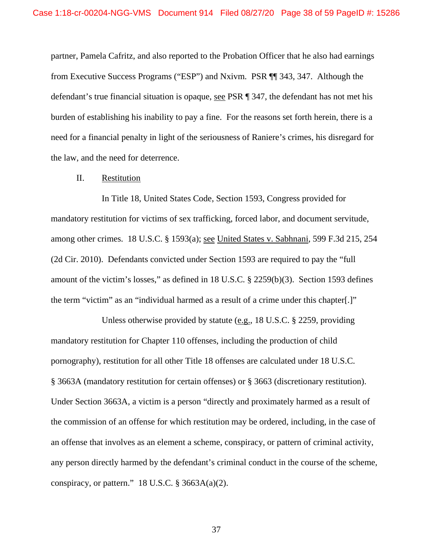partner, Pamela Cafritz, and also reported to the Probation Officer that he also had earnings from Executive Success Programs ("ESP") and Nxivm. PSR ¶¶ 343, 347. Although the defendant's true financial situation is opaque, see PSR ¶ 347, the defendant has not met his burden of establishing his inability to pay a fine. For the reasons set forth herein, there is a need for a financial penalty in light of the seriousness of Raniere's crimes, his disregard for the law, and the need for deterrence.

#### II. Restitution

In Title 18, United States Code, Section 1593, Congress provided for mandatory restitution for victims of sex trafficking, forced labor, and document servitude, among other crimes. 18 U.S.C. § 1593(a); see United States v. Sabhnani, 599 F.3d 215, 254 (2d Cir. 2010). Defendants convicted under Section 1593 are required to pay the "full amount of the victim's losses," as defined in 18 U.S.C. § 2259(b)(3). Section 1593 defines the term "victim" as an "individual harmed as a result of a crime under this chapter[.]"

Unless otherwise provided by statute (e.g., 18 U.S.C. § 2259, providing mandatory restitution for Chapter 110 offenses, including the production of child pornography), restitution for all other Title 18 offenses are calculated under 18 U.S.C. § 3663A (mandatory restitution for certain offenses) or § 3663 (discretionary restitution). Under Section 3663A, a victim is a person "directly and proximately harmed as a result of the commission of an offense for which restitution may be ordered, including, in the case of an offense that involves as an element a scheme, conspiracy, or pattern of criminal activity, any person directly harmed by the defendant's criminal conduct in the course of the scheme, conspiracy, or pattern."  $18$  U.S.C. § 3663A(a)(2).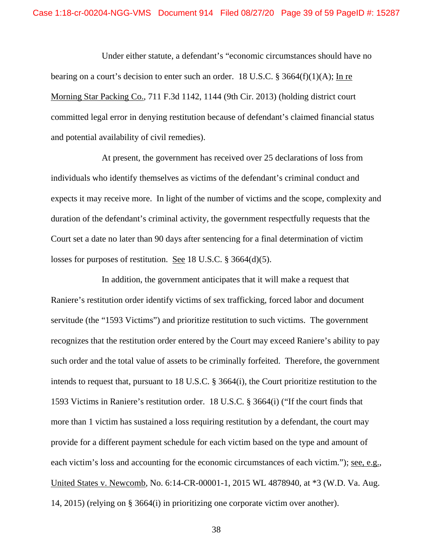Under either statute, a defendant's "economic circumstances should have no bearing on a court's decision to enter such an order. 18 U.S.C. § 3664(f)(1)(A); In re Morning Star Packing Co., 711 F.3d 1142, 1144 (9th Cir. 2013) (holding district court committed legal error in denying restitution because of defendant's claimed financial status and potential availability of civil remedies).

At present, the government has received over 25 declarations of loss from individuals who identify themselves as victims of the defendant's criminal conduct and expects it may receive more. In light of the number of victims and the scope, complexity and duration of the defendant's criminal activity, the government respectfully requests that the Court set a date no later than 90 days after sentencing for a final determination of victim losses for purposes of restitution. See 18 U.S.C. § 3664(d)(5).

In addition, the government anticipates that it will make a request that Raniere's restitution order identify victims of sex trafficking, forced labor and document servitude (the "1593 Victims") and prioritize restitution to such victims. The government recognizes that the restitution order entered by the Court may exceed Raniere's ability to pay such order and the total value of assets to be criminally forfeited. Therefore, the government intends to request that, pursuant to 18 U.S.C. § 3664(i), the Court prioritize restitution to the 1593 Victims in Raniere's restitution order. 18 U.S.C. § 3664(i) ("If the court finds that more than 1 victim has sustained a loss requiring restitution by a defendant, the court may provide for a different payment schedule for each victim based on the type and amount of each victim's loss and accounting for the economic circumstances of each victim."); <u>see, e.g.</u>, United States v. Newcomb, No. 6:14-CR-00001-1, 2015 WL 4878940, at \*3 (W.D. Va. Aug. 14, 2015) (relying on § 3664(i) in prioritizing one corporate victim over another).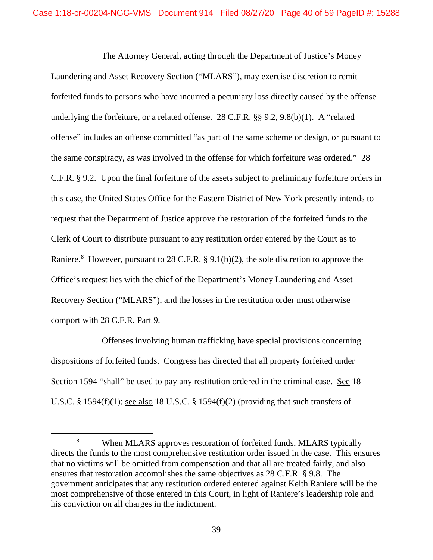The Attorney General, acting through the Department of Justice's Money Laundering and Asset Recovery Section ("MLARS"), may exercise discretion to remit forfeited funds to persons who have incurred a pecuniary loss directly caused by the offense underlying the forfeiture, or a related offense. 28 C.F.R. §§ 9.2, 9.8(b)(1). A "related offense" includes an offense committed "as part of the same scheme or design, or pursuant to the same conspiracy, as was involved in the offense for which forfeiture was ordered." 28 C.F.R. § 9.2. Upon the final forfeiture of the assets subject to preliminary forfeiture orders in this case, the United States Office for the Eastern District of New York presently intends to request that the Department of Justice approve the restoration of the forfeited funds to the Clerk of Court to distribute pursuant to any restitution order entered by the Court as to Raniere.<sup>[8](#page-39-0)</sup> However, pursuant to 28 C.F.R. § 9.1(b)(2), the sole discretion to approve the Office's request lies with the chief of the Department's Money Laundering and Asset Recovery Section ("MLARS"), and the losses in the restitution order must otherwise comport with 28 C.F.R. Part 9.

Offenses involving human trafficking have special provisions concerning dispositions of forfeited funds. Congress has directed that all property forfeited under Section 1594 "shall" be used to pay any restitution ordered in the criminal case. See 18 U.S.C. § 1594(f)(1); <u>see also</u> 18 U.S.C. § 1594(f)(2) (providing that such transfers of

<span id="page-39-0"></span> <sup>8</sup> When MLARS approves restoration of forfeited funds, MLARS typically directs the funds to the most comprehensive restitution order issued in the case. This ensures that no victims will be omitted from compensation and that all are treated fairly, and also ensures that restoration accomplishes the same objectives as 28 C.F.R. § 9.8. The government anticipates that any restitution ordered entered against Keith Raniere will be the most comprehensive of those entered in this Court, in light of Raniere's leadership role and his conviction on all charges in the indictment.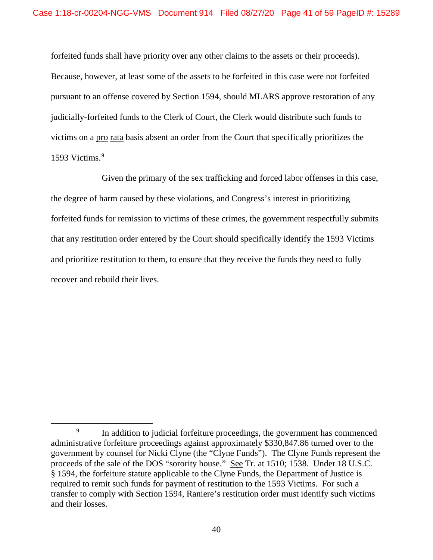forfeited funds shall have priority over any other claims to the assets or their proceeds). Because, however, at least some of the assets to be forfeited in this case were not forfeited pursuant to an offense covered by Section 1594, should MLARS approve restoration of any judicially-forfeited funds to the Clerk of Court, the Clerk would distribute such funds to victims on a pro rata basis absent an order from the Court that specifically prioritizes the 15[9](#page-40-0)3 Victims.<sup>9</sup>

Given the primary of the sex trafficking and forced labor offenses in this case, the degree of harm caused by these violations, and Congress's interest in prioritizing forfeited funds for remission to victims of these crimes, the government respectfully submits that any restitution order entered by the Court should specifically identify the 1593 Victims and prioritize restitution to them, to ensure that they receive the funds they need to fully recover and rebuild their lives.

<span id="page-40-0"></span><sup>&</sup>lt;sup>9</sup> In addition to judicial forfeiture proceedings, the government has commenced administrative forfeiture proceedings against approximately \$330,847.86 turned over to the government by counsel for Nicki Clyne (the "Clyne Funds"). The Clyne Funds represent the proceeds of the sale of the DOS "sorority house." See Tr. at 1510; 1538. Under 18 U.S.C. § 1594, the forfeiture statute applicable to the Clyne Funds, the Department of Justice is required to remit such funds for payment of restitution to the 1593 Victims. For such a transfer to comply with Section 1594, Raniere's restitution order must identify such victims and their losses.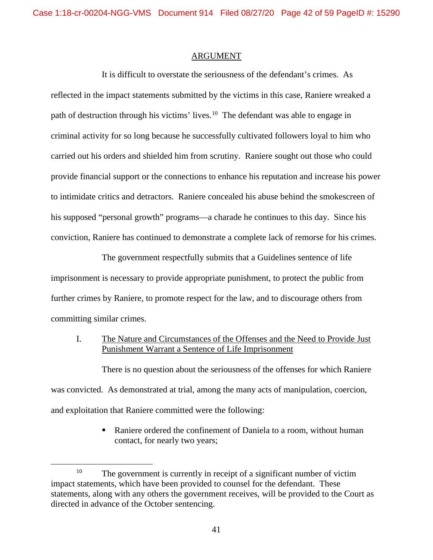### ARGUMENT

It is difficult to overstate the seriousness of the defendant's crimes. As reflected in the impact statements submitted by the victims in this case, Raniere wreaked a path of destruction through his victims' lives.[10](#page-41-0) The defendant was able to engage in criminal activity for so long because he successfully cultivated followers loyal to him who carried out his orders and shielded him from scrutiny. Raniere sought out those who could provide financial support or the connections to enhance his reputation and increase his power to intimidate critics and detractors. Raniere concealed his abuse behind the smokescreen of his supposed "personal growth" programs—a charade he continues to this day. Since his conviction, Raniere has continued to demonstrate a complete lack of remorse for his crimes.

The government respectfully submits that a Guidelines sentence of life imprisonment is necessary to provide appropriate punishment, to protect the public from further crimes by Raniere, to promote respect for the law, and to discourage others from committing similar crimes.

I. The Nature and Circumstances of the Offenses and the Need to Provide Just Punishment Warrant a Sentence of Life Imprisonment

There is no question about the seriousness of the offenses for which Raniere was convicted. As demonstrated at trial, among the many acts of manipulation, coercion, and exploitation that Raniere committed were the following:

> Raniere ordered the confinement of Daniela to a room, without human contact, for nearly two years;

<span id="page-41-0"></span><sup>&</sup>lt;sup>10</sup> The government is currently in receipt of a significant number of victim impact statements, which have been provided to counsel for the defendant. These statements, along with any others the government receives, will be provided to the Court as directed in advance of the October sentencing.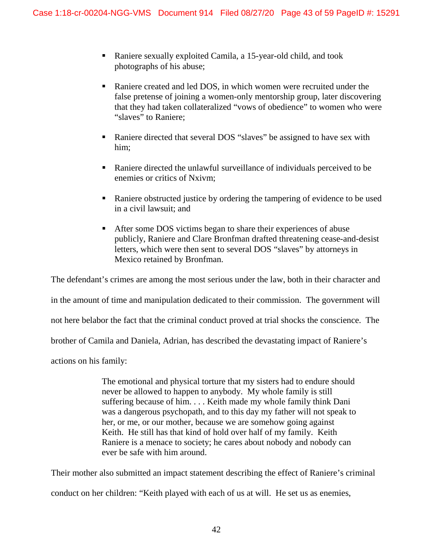- Raniere sexually exploited Camila, a 15-year-old child, and took photographs of his abuse;
- Raniere created and led DOS, in which women were recruited under the false pretense of joining a women-only mentorship group, later discovering that they had taken collateralized "vows of obedience" to women who were "slaves" to Raniere;
- Raniere directed that several DOS "slaves" be assigned to have sex with him;
- Raniere directed the unlawful surveillance of individuals perceived to be enemies or critics of Nxivm;
- Raniere obstructed justice by ordering the tampering of evidence to be used in a civil lawsuit; and
- After some DOS victims began to share their experiences of abuse publicly, Raniere and Clare Bronfman drafted threatening cease-and-desist letters, which were then sent to several DOS "slaves" by attorneys in Mexico retained by Bronfman.

The defendant's crimes are among the most serious under the law, both in their character and in the amount of time and manipulation dedicated to their commission. The government will not here belabor the fact that the criminal conduct proved at trial shocks the conscience. The brother of Camila and Daniela, Adrian, has described the devastating impact of Raniere's actions on his family:

> The emotional and physical torture that my sisters had to endure should never be allowed to happen to anybody. My whole family is still suffering because of him. . . . Keith made my whole family think Dani was a dangerous psychopath, and to this day my father will not speak to her, or me, or our mother, because we are somehow going against Keith. He still has that kind of hold over half of my family. Keith Raniere is a menace to society; he cares about nobody and nobody can ever be safe with him around.

Their mother also submitted an impact statement describing the effect of Raniere's criminal conduct on her children: "Keith played with each of us at will. He set us as enemies,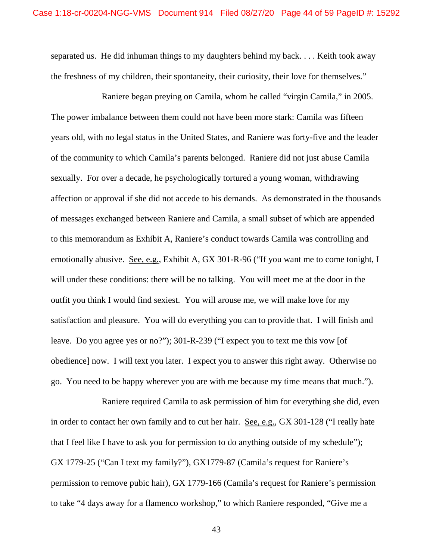separated us. He did inhuman things to my daughters behind my back. . . . Keith took away the freshness of my children, their spontaneity, their curiosity, their love for themselves."

Raniere began preying on Camila, whom he called "virgin Camila," in 2005. The power imbalance between them could not have been more stark: Camila was fifteen years old, with no legal status in the United States, and Raniere was forty-five and the leader of the community to which Camila's parents belonged. Raniere did not just abuse Camila sexually. For over a decade, he psychologically tortured a young woman, withdrawing affection or approval if she did not accede to his demands. As demonstrated in the thousands of messages exchanged between Raniere and Camila, a small subset of which are appended to this memorandum as Exhibit A, Raniere's conduct towards Camila was controlling and emotionally abusive. See, e.g., Exhibit A, GX 301-R-96 ("If you want me to come tonight, I will under these conditions: there will be no talking. You will meet me at the door in the outfit you think I would find sexiest. You will arouse me, we will make love for my satisfaction and pleasure. You will do everything you can to provide that. I will finish and leave. Do you agree yes or no?"); 301-R-239 ("I expect you to text me this vow [of obedience] now. I will text you later. I expect you to answer this right away. Otherwise no go. You need to be happy wherever you are with me because my time means that much.").

Raniere required Camila to ask permission of him for everything she did, even in order to contact her own family and to cut her hair. See, e.g., GX 301-128 ("I really hate that I feel like I have to ask you for permission to do anything outside of my schedule"); GX 1779-25 ("Can I text my family?"), GX1779-87 (Camila's request for Raniere's permission to remove pubic hair), GX 1779-166 (Camila's request for Raniere's permission to take "4 days away for a flamenco workshop," to which Raniere responded, "Give me a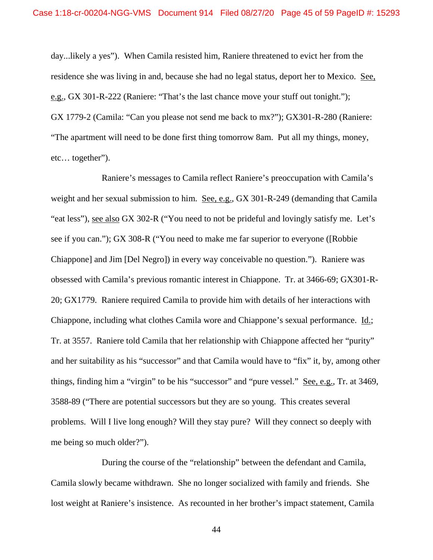day...likely a yes"). When Camila resisted him, Raniere threatened to evict her from the residence she was living in and, because she had no legal status, deport her to Mexico. See, e.g., GX 301-R-222 (Raniere: "That's the last chance move your stuff out tonight."); GX 1779-2 (Camila: "Can you please not send me back to mx?"); GX301-R-280 (Raniere: "The apartment will need to be done first thing tomorrow 8am. Put all my things, money, etc… together").

Raniere's messages to Camila reflect Raniere's preoccupation with Camila's weight and her sexual submission to him. See, e.g., GX 301-R-249 (demanding that Camila "eat less"), <u>see also</u> GX 302-R ("You need to not be prideful and lovingly satisfy me. Let's see if you can."); GX 308-R ("You need to make me far superior to everyone ([Robbie Chiappone] and Jim [Del Negro]) in every way conceivable no question."). Raniere was obsessed with Camila's previous romantic interest in Chiappone. Tr. at 3466-69; GX301-R-20; GX1779. Raniere required Camila to provide him with details of her interactions with Chiappone, including what clothes Camila wore and Chiappone's sexual performance. Id.; Tr. at 3557. Raniere told Camila that her relationship with Chiappone affected her "purity" and her suitability as his "successor" and that Camila would have to "fix" it, by, among other things, finding him a "virgin" to be his "successor" and "pure vessel." See, e.g., Tr. at 3469, 3588-89 ("There are potential successors but they are so young. This creates several problems. Will I live long enough? Will they stay pure? Will they connect so deeply with me being so much older?").

During the course of the "relationship" between the defendant and Camila, Camila slowly became withdrawn. She no longer socialized with family and friends. She lost weight at Raniere's insistence. As recounted in her brother's impact statement, Camila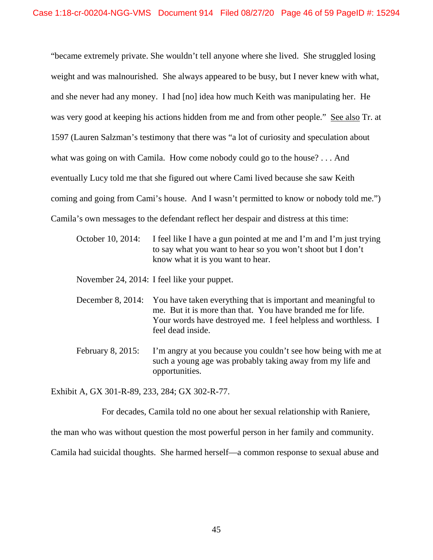"became extremely private. She wouldn't tell anyone where she lived. She struggled losing weight and was malnourished. She always appeared to be busy, but I never knew with what, and she never had any money. I had [no] idea how much Keith was manipulating her. He was very good at keeping his actions hidden from me and from other people." See also Tr. at 1597 (Lauren Salzman's testimony that there was "a lot of curiosity and speculation about what was going on with Camila. How come nobody could go to the house? . . . And eventually Lucy told me that she figured out where Cami lived because she saw Keith coming and going from Cami's house. And I wasn't permitted to know or nobody told me.") Camila's own messages to the defendant reflect her despair and distress at this time:

October 10, 2014: I feel like I have a gun pointed at me and I'm and I'm just trying to say what you want to hear so you won't shoot but I don't know what it is you want to hear.

November 24, 2014: I feel like your puppet.

- December 8, 2014: You have taken everything that is important and meaningful to me. But it is more than that. You have branded me for life. Your words have destroyed me. I feel helpless and worthless. I feel dead inside.
- February 8, 2015: I'm angry at you because you couldn't see how being with me at such a young age was probably taking away from my life and opportunities.

Exhibit A, GX 301-R-89, 233, 284; GX 302-R-77.

For decades, Camila told no one about her sexual relationship with Raniere,

the man who was without question the most powerful person in her family and community.

Camila had suicidal thoughts. She harmed herself—a common response to sexual abuse and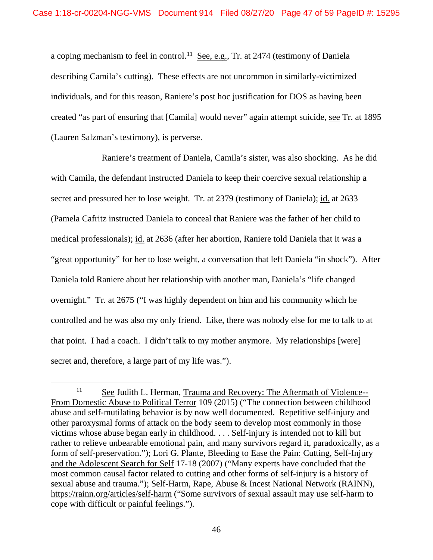a coping mechanism to feel in control.<sup>[11](#page-46-0)</sup> See, e.g., Tr. at 2474 (testimony of Daniela describing Camila's cutting). These effects are not uncommon in similarly-victimized individuals, and for this reason, Raniere's post hoc justification for DOS as having been created "as part of ensuring that [Camila] would never" again attempt suicide, see Tr. at 1895 (Lauren Salzman's testimony), is perverse.

Raniere's treatment of Daniela, Camila's sister, was also shocking. As he did with Camila, the defendant instructed Daniela to keep their coercive sexual relationship a secret and pressured her to lose weight. Tr. at 2379 (testimony of Daniela); id. at 2633 (Pamela Cafritz instructed Daniela to conceal that Raniere was the father of her child to medical professionals); id. at 2636 (after her abortion, Raniere told Daniela that it was a "great opportunity" for her to lose weight, a conversation that left Daniela "in shock"). After Daniela told Raniere about her relationship with another man, Daniela's "life changed overnight." Tr. at 2675 ("I was highly dependent on him and his community which he controlled and he was also my only friend. Like, there was nobody else for me to talk to at that point. I had a coach. I didn't talk to my mother anymore. My relationships [were] secret and, therefore, a large part of my life was.").

<span id="page-46-0"></span><sup>&</sup>lt;sup>11</sup> See Judith L. Herman, Trauma and Recovery: The Aftermath of Violence--From Domestic Abuse to Political Terror 109 (2015) ("The connection between childhood abuse and self-mutilating behavior is by now well documented. Repetitive self-injury and other paroxysmal forms of attack on the body seem to develop most commonly in those victims whose abuse began early in childhood. . . . Self-injury is intended not to kill but rather to relieve unbearable emotional pain, and many survivors regard it, paradoxically, as a form of self-preservation."); Lori G. Plante, Bleeding to Ease the Pain: Cutting, Self-Injury and the Adolescent Search for Self 17-18 (2007) ("Many experts have concluded that the most common causal factor related to cutting and other forms of self-injury is a history of sexual abuse and trauma."); Self-Harm, Rape, Abuse & Incest National Network (RAINN), <https://rainn.org/articles/self-harm> ("Some survivors of sexual assault may use self-harm to cope with difficult or painful feelings.").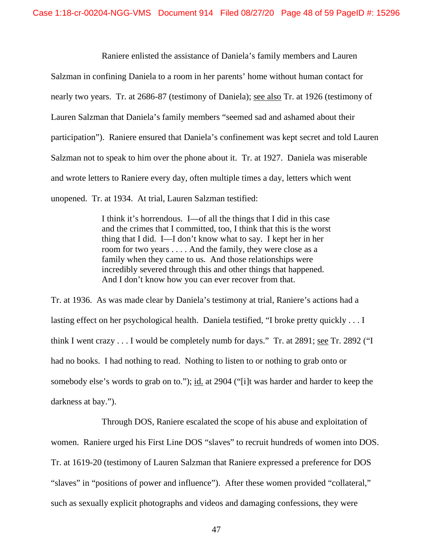Raniere enlisted the assistance of Daniela's family members and Lauren Salzman in confining Daniela to a room in her parents' home without human contact for nearly two years. Tr. at 2686-87 (testimony of Daniela); <u>see also</u> Tr. at 1926 (testimony of Lauren Salzman that Daniela's family members "seemed sad and ashamed about their participation"). Raniere ensured that Daniela's confinement was kept secret and told Lauren Salzman not to speak to him over the phone about it. Tr. at 1927. Daniela was miserable and wrote letters to Raniere every day, often multiple times a day, letters which went unopened. Tr. at 1934. At trial, Lauren Salzman testified:

> I think it's horrendous. I—of all the things that I did in this case and the crimes that I committed, too, I think that this is the worst thing that I did. I—I don't know what to say. I kept her in her room for two years . . . . And the family, they were close as a family when they came to us. And those relationships were incredibly severed through this and other things that happened. And I don't know how you can ever recover from that.

Tr. at 1936. As was made clear by Daniela's testimony at trial, Raniere's actions had a lasting effect on her psychological health. Daniela testified, "I broke pretty quickly . . . I think I went crazy  $\dots$  I would be completely numb for days." Tr. at 2891; <u>see</u> Tr. 2892 ("I had no books. I had nothing to read. Nothing to listen to or nothing to grab onto or somebody else's words to grab on to."); id. at 2904 ("[i]t was harder and harder to keep the darkness at bay.").

Through DOS, Raniere escalated the scope of his abuse and exploitation of women. Raniere urged his First Line DOS "slaves" to recruit hundreds of women into DOS. Tr. at 1619-20 (testimony of Lauren Salzman that Raniere expressed a preference for DOS "slaves" in "positions of power and influence"). After these women provided "collateral," such as sexually explicit photographs and videos and damaging confessions, they were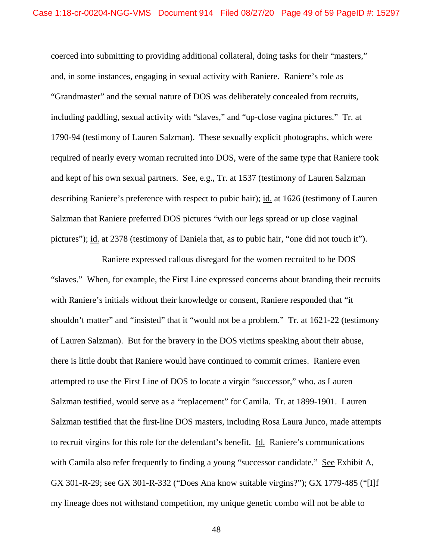coerced into submitting to providing additional collateral, doing tasks for their "masters," and, in some instances, engaging in sexual activity with Raniere. Raniere's role as "Grandmaster" and the sexual nature of DOS was deliberately concealed from recruits, including paddling, sexual activity with "slaves," and "up-close vagina pictures." Tr. at 1790-94 (testimony of Lauren Salzman). These sexually explicit photographs, which were required of nearly every woman recruited into DOS, were of the same type that Raniere took and kept of his own sexual partners. See, e.g., Tr. at 1537 (testimony of Lauren Salzman describing Raniere's preference with respect to pubic hair); id. at 1626 (testimony of Lauren Salzman that Raniere preferred DOS pictures "with our legs spread or up close vaginal pictures"); id. at 2378 (testimony of Daniela that, as to pubic hair, "one did not touch it").

Raniere expressed callous disregard for the women recruited to be DOS "slaves." When, for example, the First Line expressed concerns about branding their recruits with Raniere's initials without their knowledge or consent, Raniere responded that "it shouldn't matter" and "insisted" that it "would not be a problem." Tr. at 1621-22 (testimony of Lauren Salzman). But for the bravery in the DOS victims speaking about their abuse, there is little doubt that Raniere would have continued to commit crimes. Raniere even attempted to use the First Line of DOS to locate a virgin "successor," who, as Lauren Salzman testified, would serve as a "replacement" for Camila. Tr. at 1899-1901. Lauren Salzman testified that the first-line DOS masters, including Rosa Laura Junco, made attempts to recruit virgins for this role for the defendant's benefit. Id. Raniere's communications with Camila also refer frequently to finding a young "successor candidate." See Exhibit A, GX 301-R-29; see GX 301-R-332 ("Does Ana know suitable virgins?"); GX 1779-485 ("[I]f my lineage does not withstand competition, my unique genetic combo will not be able to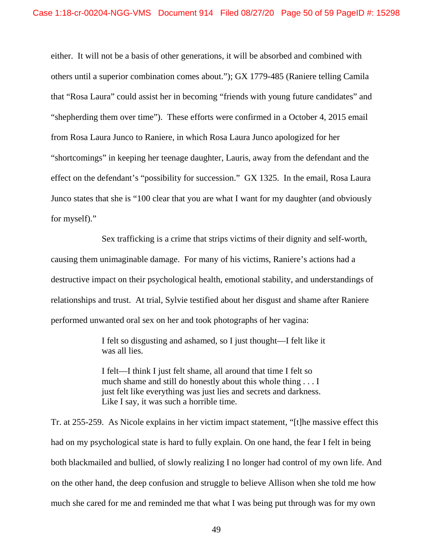either. It will not be a basis of other generations, it will be absorbed and combined with others until a superior combination comes about."); GX 1779-485 (Raniere telling Camila that "Rosa Laura" could assist her in becoming "friends with young future candidates" and "shepherding them over time"). These efforts were confirmed in a October 4, 2015 email from Rosa Laura Junco to Raniere, in which Rosa Laura Junco apologized for her "shortcomings" in keeping her teenage daughter, Lauris, away from the defendant and the effect on the defendant's "possibility for succession." GX 1325. In the email, Rosa Laura Junco states that she is "100 clear that you are what I want for my daughter (and obviously for myself)."

Sex trafficking is a crime that strips victims of their dignity and self-worth, causing them unimaginable damage. For many of his victims, Raniere's actions had a destructive impact on their psychological health, emotional stability, and understandings of relationships and trust. At trial, Sylvie testified about her disgust and shame after Raniere performed unwanted oral sex on her and took photographs of her vagina:

> I felt so disgusting and ashamed, so I just thought—I felt like it was all lies.

I felt—I think I just felt shame, all around that time I felt so much shame and still do honestly about this whole thing . . . I just felt like everything was just lies and secrets and darkness. Like I say, it was such a horrible time.

Tr. at 255-259. As Nicole explains in her victim impact statement, "[t]he massive effect this had on my psychological state is hard to fully explain. On one hand, the fear I felt in being both blackmailed and bullied, of slowly realizing I no longer had control of my own life. And on the other hand, the deep confusion and struggle to believe Allison when she told me how much she cared for me and reminded me that what I was being put through was for my own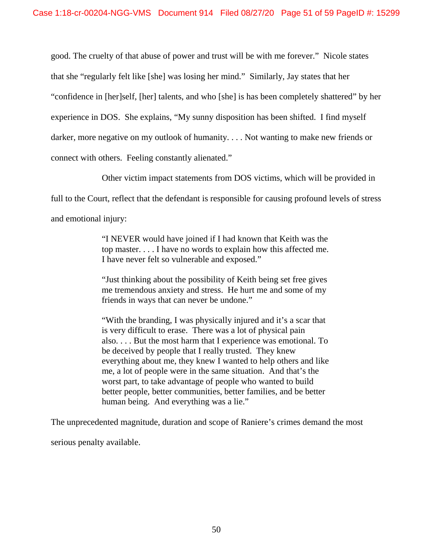good. The cruelty of that abuse of power and trust will be with me forever." Nicole states that she "regularly felt like [she] was losing her mind." Similarly, Jay states that her "confidence in [her]self, [her] talents, and who [she] is has been completely shattered" by her experience in DOS. She explains, "My sunny disposition has been shifted. I find myself darker, more negative on my outlook of humanity. . . . Not wanting to make new friends or connect with others. Feeling constantly alienated."

Other victim impact statements from DOS victims, which will be provided in

full to the Court, reflect that the defendant is responsible for causing profound levels of stress

and emotional injury:

"I NEVER would have joined if I had known that Keith was the top master. . . . I have no words to explain how this affected me. I have never felt so vulnerable and exposed."

"Just thinking about the possibility of Keith being set free gives me tremendous anxiety and stress. He hurt me and some of my friends in ways that can never be undone."

"With the branding, I was physically injured and it's a scar that is very difficult to erase. There was a lot of physical pain also. . . . But the most harm that I experience was emotional. To be deceived by people that I really trusted. They knew everything about me, they knew I wanted to help others and like me, a lot of people were in the same situation. And that's the worst part, to take advantage of people who wanted to build better people, better communities, better families, and be better human being. And everything was a lie."

The unprecedented magnitude, duration and scope of Raniere's crimes demand the most

serious penalty available.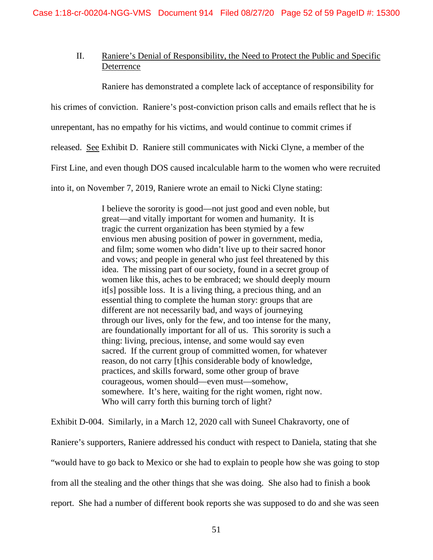# II. Raniere's Denial of Responsibility, the Need to Protect the Public and Specific Deterrence

Raniere has demonstrated a complete lack of acceptance of responsibility for

his crimes of conviction. Raniere's post-conviction prison calls and emails reflect that he is

unrepentant, has no empathy for his victims, and would continue to commit crimes if

released. See Exhibit D. Raniere still communicates with Nicki Clyne, a member of the

First Line, and even though DOS caused incalculable harm to the women who were recruited

into it, on November 7, 2019, Raniere wrote an email to Nicki Clyne stating:

I believe the sorority is good—not just good and even noble, but great—and vitally important for women and humanity. It is tragic the current organization has been stymied by a few envious men abusing position of power in government, media, and film; some women who didn't live up to their sacred honor and vows; and people in general who just feel threatened by this idea. The missing part of our society, found in a secret group of women like this, aches to be embraced; we should deeply mourn it[s] possible loss. It is a living thing, a precious thing, and an essential thing to complete the human story: groups that are different are not necessarily bad, and ways of journeying through our lives, only for the few, and too intense for the many, are foundationally important for all of us. This sorority is such a thing: living, precious, intense, and some would say even sacred. If the current group of committed women, for whatever reason, do not carry [t]his considerable body of knowledge, practices, and skills forward, some other group of brave courageous, women should—even must—somehow, somewhere. It's here, waiting for the right women, right now. Who will carry forth this burning torch of light?

Exhibit D-004. Similarly, in a March 12, 2020 call with Suneel Chakravorty, one of

Raniere's supporters, Raniere addressed his conduct with respect to Daniela, stating that she "would have to go back to Mexico or she had to explain to people how she was going to stop from all the stealing and the other things that she was doing. She also had to finish a book report. She had a number of different book reports she was supposed to do and she was seen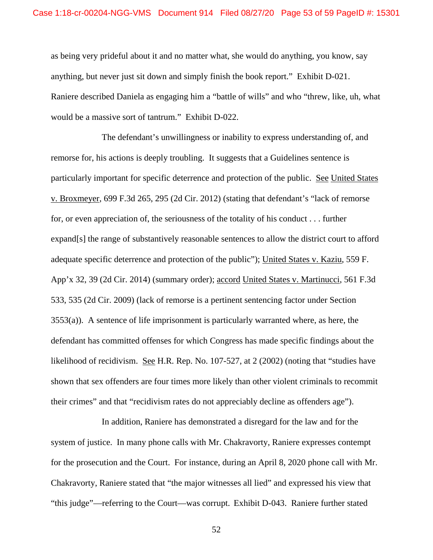as being very prideful about it and no matter what, she would do anything, you know, say anything, but never just sit down and simply finish the book report." Exhibit D-021. Raniere described Daniela as engaging him a "battle of wills" and who "threw, like, uh, what would be a massive sort of tantrum." Exhibit D-022.

The defendant's unwillingness or inability to express understanding of, and remorse for, his actions is deeply troubling. It suggests that a Guidelines sentence is particularly important for specific deterrence and protection of the public. See United States v. Broxmeyer, 699 F.3d 265, 295 (2d Cir. 2012) (stating that defendant's "lack of remorse for, or even appreciation of, the seriousness of the totality of his conduct . . . further expand[s] the range of substantively reasonable sentences to allow the district court to afford adequate specific deterrence and protection of the public"); United States v. Kaziu, 559 F. App'x 32, 39 (2d Cir. 2014) (summary order); accord United States v. Martinucci, 561 F.3d 533, 535 (2d Cir. 2009) (lack of remorse is a pertinent sentencing factor under Section 3553(a)). A sentence of life imprisonment is particularly warranted where, as here, the defendant has committed offenses for which Congress has made specific findings about the likelihood of recidivism. See H.R. Rep. No. 107-527, at 2 (2002) (noting that "studies have shown that sex offenders are four times more likely than other violent criminals to recommit their crimes" and that "recidivism rates do not appreciably decline as offenders age").

In addition, Raniere has demonstrated a disregard for the law and for the system of justice. In many phone calls with Mr. Chakravorty, Raniere expresses contempt for the prosecution and the Court. For instance, during an April 8, 2020 phone call with Mr. Chakravorty, Raniere stated that "the major witnesses all lied" and expressed his view that "this judge"—referring to the Court—was corrupt. Exhibit D-043. Raniere further stated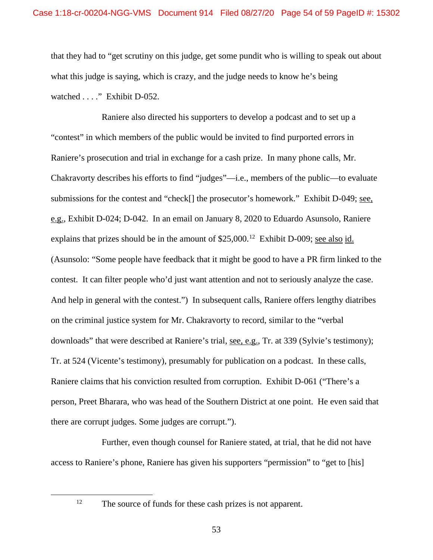that they had to "get scrutiny on this judge, get some pundit who is willing to speak out about what this judge is saying, which is crazy, and the judge needs to know he's being watched . . . ." Exhibit D-052.

Raniere also directed his supporters to develop a podcast and to set up a "contest" in which members of the public would be invited to find purported errors in Raniere's prosecution and trial in exchange for a cash prize. In many phone calls, Mr. Chakravorty describes his efforts to find "judges"—i.e., members of the public—to evaluate submissions for the contest and "check[] the prosecutor's homework." Exhibit D-049; see, e.g., Exhibit D-024; D-042. In an email on January 8, 2020 to Eduardo Asunsolo, Raniere explains that prizes should be in the amount of  $$25,000<sup>12</sup>$  Exhibit D-009; see also id. (Asunsolo: "Some people have feedback that it might be good to have a PR firm linked to the contest. It can filter people who'd just want attention and not to seriously analyze the case. And help in general with the contest.") In subsequent calls, Raniere offers lengthy diatribes on the criminal justice system for Mr. Chakravorty to record, similar to the "verbal downloads" that were described at Raniere's trial, see, e.g., Tr. at 339 (Sylvie's testimony); Tr. at 524 (Vicente's testimony), presumably for publication on a podcast. In these calls, Raniere claims that his conviction resulted from corruption. Exhibit D-061 ("There's a person, Preet Bharara, who was head of the Southern District at one point. He even said that there are corrupt judges. Some judges are corrupt.").

Further, even though counsel for Raniere stated, at trial, that he did not have access to Raniere's phone, Raniere has given his supporters "permission" to "get to [his]

<span id="page-53-0"></span>

<sup>&</sup>lt;sup>12</sup> The source of funds for these cash prizes is not apparent.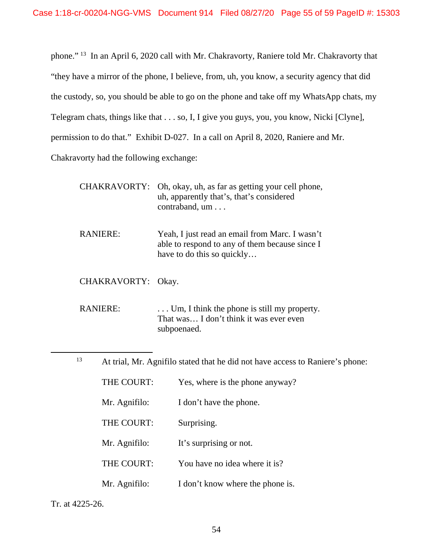phone." [13](#page-54-0) In an April 6, 2020 call with Mr. Chakravorty, Raniere told Mr. Chakravorty that "they have a mirror of the phone, I believe, from, uh, you know, a security agency that did the custody, so, you should be able to go on the phone and take off my WhatsApp chats, my Telegram chats, things like that . . . so, I, I give you guys, you, you know, Nicki [Clyne], permission to do that." Exhibit D-027. In a call on April 8, 2020, Raniere and Mr. Chakravorty had the following exchange:

|                    | CHAKRAVORTY: Oh, okay, uh, as far as getting your cell phone,<br>uh, apparently that's, that's considered<br>contraband, um    |
|--------------------|--------------------------------------------------------------------------------------------------------------------------------|
| <b>RANIERE:</b>    | Yeah, I just read an email from Marc. I wasn't<br>able to respond to any of them because since I<br>have to do this so quickly |
| CHAKRAVORTY: Okay. |                                                                                                                                |
| <b>RANIERE:</b>    | $\ldots$ Um, I think the phone is still my property.<br>That was I don't think it was ever even<br>subpoenaed.                 |
| 13                 | At trial, Mr. Agnifilo stated that he did not have access to Raniere's phone:                                                  |
| THE COURT:         | Yes, where is the phone anyway?                                                                                                |

<span id="page-54-0"></span>

| Mr. Agnifilo: | I don't have the phone. |
|---------------|-------------------------|
|               |                         |

- THE COURT: Surprising.
- Mr. Agnifilo: It's surprising or not.
- THE COURT: You have no idea where it is?
- Mr. Agnifilo: I don't know where the phone is.

Tr. at 4225-26.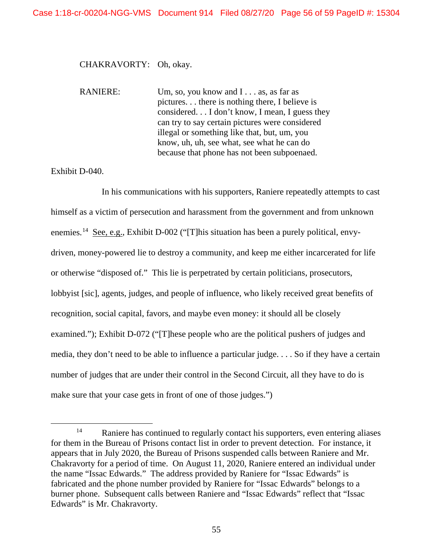## CHAKRAVORTY: Oh, okay.

RANIERE: Um, so, you know and I . . . as, as far as pictures. . . there is nothing there, I believe is considered. . . I don't know, I mean, I guess they can try to say certain pictures were considered illegal or something like that, but, um, you know, uh, uh, see what, see what he can do because that phone has not been subpoenaed.

# Exhibit D-040.

In his communications with his supporters, Raniere repeatedly attempts to cast himself as a victim of persecution and harassment from the government and from unknown enemies.<sup>14</sup> See, e.g., Exhibit D-002 ("[T]his situation has been a purely political, envydriven, money-powered lie to destroy a community, and keep me either incarcerated for life or otherwise "disposed of." This lie is perpetrated by certain politicians, prosecutors, lobbyist [sic], agents, judges, and people of influence, who likely received great benefits of recognition, social capital, favors, and maybe even money: it should all be closely examined."); Exhibit D-072 ("These people who are the political pushers of judges and media, they don't need to be able to influence a particular judge. . . . So if they have a certain number of judges that are under their control in the Second Circuit, all they have to do is make sure that your case gets in front of one of those judges.")

<span id="page-55-0"></span><sup>&</sup>lt;sup>14</sup> Raniere has continued to regularly contact his supporters, even entering aliases for them in the Bureau of Prisons contact list in order to prevent detection. For instance, it appears that in July 2020, the Bureau of Prisons suspended calls between Raniere and Mr. Chakravorty for a period of time. On August 11, 2020, Raniere entered an individual under the name "Issac Edwards." The address provided by Raniere for "Issac Edwards" is fabricated and the phone number provided by Raniere for "Issac Edwards" belongs to a burner phone. Subsequent calls between Raniere and "Issac Edwards" reflect that "Issac Edwards" is Mr. Chakravorty.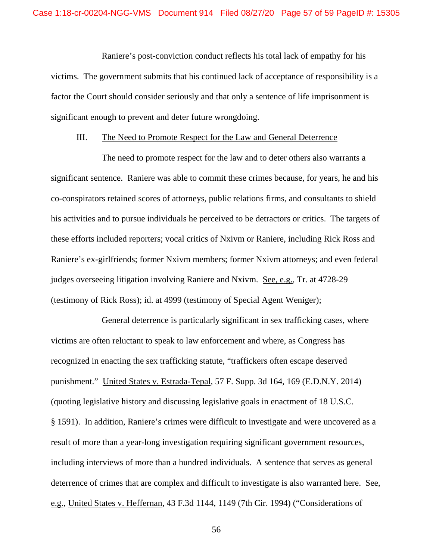Raniere's post-conviction conduct reflects his total lack of empathy for his victims. The government submits that his continued lack of acceptance of responsibility is a factor the Court should consider seriously and that only a sentence of life imprisonment is significant enough to prevent and deter future wrongdoing.

### III. The Need to Promote Respect for the Law and General Deterrence

The need to promote respect for the law and to deter others also warrants a significant sentence. Raniere was able to commit these crimes because, for years, he and his co-conspirators retained scores of attorneys, public relations firms, and consultants to shield his activities and to pursue individuals he perceived to be detractors or critics. The targets of these efforts included reporters; vocal critics of Nxivm or Raniere, including Rick Ross and Raniere's ex-girlfriends; former Nxivm members; former Nxivm attorneys; and even federal judges overseeing litigation involving Raniere and Nxivm. See, e.g., Tr. at 4728-29 (testimony of Rick Ross); id. at 4999 (testimony of Special Agent Weniger);

General deterrence is particularly significant in sex trafficking cases, where victims are often reluctant to speak to law enforcement and where, as Congress has recognized in enacting the sex trafficking statute, "traffickers often escape deserved punishment." United States v. Estrada-Tepal, 57 F. Supp. 3d 164, 169 (E.D.N.Y. 2014) (quoting legislative history and discussing legislative goals in enactment of 18 U.S.C. § 1591). In addition, Raniere's crimes were difficult to investigate and were uncovered as a result of more than a year-long investigation requiring significant government resources, including interviews of more than a hundred individuals. A sentence that serves as general deterrence of crimes that are complex and difficult to investigate is also warranted here. See, e.g., United States v. Heffernan, 43 F.3d 1144, 1149 (7th Cir. 1994) ("Considerations of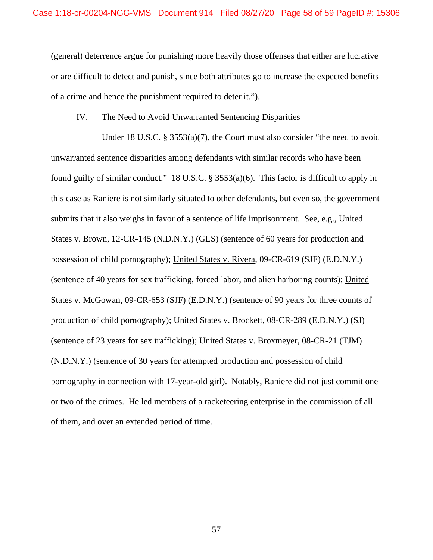(general) deterrence argue for punishing more heavily those offenses that either are lucrative or are difficult to detect and punish, since both attributes go to increase the expected benefits of a crime and hence the punishment required to deter it.").

### IV. The Need to Avoid Unwarranted Sentencing Disparities

Under 18 U.S.C. § 3553(a)(7), the Court must also consider "the need to avoid unwarranted sentence disparities among defendants with similar records who have been found guilty of similar conduct." 18 U.S.C. § 3553(a)(6). This factor is difficult to apply in this case as Raniere is not similarly situated to other defendants, but even so, the government submits that it also weighs in favor of a sentence of life imprisonment. See, e.g., United States v. Brown, 12-CR-145 (N.D.N.Y.) (GLS) (sentence of 60 years for production and possession of child pornography); United States v. Rivera, 09-CR-619 (SJF) (E.D.N.Y.) (sentence of 40 years for sex trafficking, forced labor, and alien harboring counts); United States v. McGowan, 09-CR-653 (SJF) (E.D.N.Y.) (sentence of 90 years for three counts of production of child pornography); United States v. Brockett, 08-CR-289 (E.D.N.Y.) (SJ) (sentence of 23 years for sex trafficking); United States v. Broxmeyer, 08-CR-21 (TJM) (N.D.N.Y.) (sentence of 30 years for attempted production and possession of child pornography in connection with 17-year-old girl). Notably, Raniere did not just commit one or two of the crimes. He led members of a racketeering enterprise in the commission of all of them, and over an extended period of time.